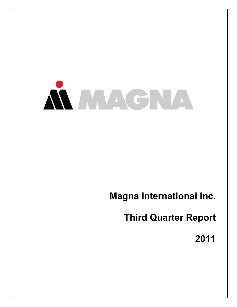

# **Magna International Inc.**

**Third Quarter Report**

**2011**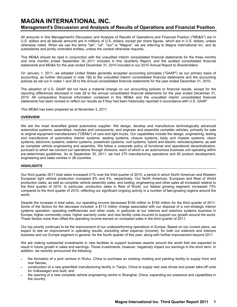# **MAGNA INTERNATIONAL INC. Management's Discussion and Analysis of Results of Operations and Financial Position**

All amounts in this Management's Discussion and Analysis of Results of Operations and Financial Position ("MD&A") are in U.S. dollars and all tabular amounts are in millions of U.S. dollars, except per share figures, which are in U.S. dollars, unless otherwise noted. When we use the terms "we", "us", "our" or "Magna", we are referring to Magna International Inc. and its subsidiaries and jointly controlled entities, unless the context otherwise requires.

This MD&A should be read in conjunction with the unaudited interim consolidated financial statements for the three months and nine months ended September 30, 2011 included in this Quarterly Report, and the audited consolidated financial statements and MD&A for the year ended December 31, 2010 included in our 2010 Annual Report to Shareholders.

On January 1, 2011, we adopted United States generally accepted accounting principles ("GAAP") as our primary basis of accounting, as further discussed in note 1[b] to the unaudited interim consolidated financial statements and the accounting policies as set out in notes 1 and 28 to the annual consolidated financial statements for the year ended December 31, 2010.

The adoption of U.S. GAAP did not have a material change on our accounting policies or financial results, except for the reporting differences disclosed in note 28 to the annual consolidated financial statements for the year ended December 31, 2010. All comparative financial information contained in this MD&A and the unaudited interim consolidated financial statements has been revised to reflect our results as if they had been historically reported in accordance with U.S. GAAP.

This MD&A has been prepared as at November 3, 2011.

### **OVERVIEW**

We are the most diversified global automotive supplier. We design, develop and manufacture technologically advanced automotive systems, assemblies, modules and components, and engineer and assemble complete vehicles, primarily for sale to original equipment manufacturers ("OEMs") of cars and light trucks. Our capabilities include the design, engineering, testing and manufacture of automotive interior systems; seating systems; closure systems; body and chassis systems; vision systems; electronic systems; exterior systems; powertrain systems; roof systems; hybrid and electric vehicles/systems; as well as complete vehicle engineering and assembly. We follow a corporate policy of functional and operational decentralization, pursuant to which we conduct our operations through divisions, each of which is an autonomous business unit operating within pre-determined guidelines. As at September 30, 2011, we had 275 manufacturing operations and 85 product development, engineering and sales centres in 26 countries.

#### **HIGHLIGHTS**

Our third quarter 2011 total sales increased 21% over the third quarter of 2010, a period in which North American and Western European light vehicle production increased 8% and 4%, respectively. Our North American, European and Rest of World production sales, as well as complete vehicle assembly sales, and tooling, engineering and other sales all increased relative to the third quarter of 2010. In particular, production sales in Rest of World, our fastest growing segment, increased 73% compared to the third quarter of 2010, reflecting our significant ongoing activity in a number of fast-growing regions around the world.

Despite the increase in total sales, our operating income decreased \$164 million to \$164 million for the third quarter of 2011. Some of the factors for the decrease included: a \$113 million charge associated with our disposal of a non-strategic interior systems operation; operating inefficiencies and other costs, in particular at our interiors and exteriors systems business in Europe; higher commodity costs; higher warranty costs; and new facility costs incurred to support our growth around the world. These factors more than offset the operating income earned on increased sales in the third quarter of 2011.

Our top priority continues to be the improvement of our underperforming operations in Europe. Based on our current plans, we expect to see an improvement in operating results, excluding other expense (income), for both our exteriors and interiors business and our Europe segment in general, for the fourth quarter of this year, along with further improvement beyond 2011.

We are making substantial investments in new facilities to support business awards around the world that are expected to result in future growth in sales and earnings. Those investments, however, negatively impact our earnings in the short term. In addition, we recently announced the following:

- the formation of a joint venture in Wuhu, China to purchase an existing molding and painting facility to supply front and rear fascias;
- construction of a new greenfield manufacturing facility in Tianjin, China to supply rear axle drives and power take-off units for Volkswagen and Audi; and
- the opening of a new complete vehicle engineering centre in Shanghai, China, expanding our presence and capabilities in the country.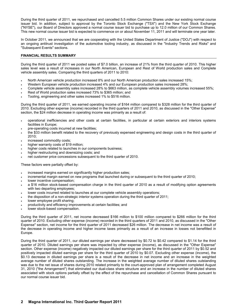During the third quarter of 2011, we repurchased and cancelled 5.5 million Common Shares under our existing normal course issuer bid. In addition, subject to approval by the Toronto Stock Exchange ("TSX") and the New York Stock Exchange ("NYSE"), our Board of Directors approved a normal course issuer bid to purchase up to 12.0 million of our Common Shares. This new normal course issuer bid is expected to commence on or about November 11, 2011 and will terminate one year later.

In October 2011, we announced that we are cooperating with the United States Department of Justice ("DOJ") with respect to an ongoing antitrust investigation of the automotive tooling industry, as discussed in the "Industry Trends and Risks" and "Subsequent Events" sections.

# **FINANCIAL RESULTS SUMMARY**

During the third quarter of 2011 we posted sales of \$7.0 billion, an increase of 21% from the third quarter of 2010. This higher sales level was a result of increases in our North American, European and Rest of World production sales and Complete vehicle assembly sales. Comparing the third quarters of 2011 to 2010:

- North American vehicle production increased 8% and our North American production sales increased 15%;
- Western European vehicle production increased 4% and our European production sales increased 28%;
- Complete vehicle assembly sales increased 28% to \$663 million, as complete vehicle assembly volumes increased 55%;
- Rest of World production sales increased 73% to \$365 million; and
- Tooling, engineering and other sales increased 1% to \$516 million.

During the third quarter of 2011, we earned operating income of \$164 million compared to \$328 million for the third quarter of 2010. Excluding other expense (income) recorded in the third quarters of 2011 and 2010, as discussed in the "Other Expense" section, the \$24 million decrease in operating income was primarily as a result of:

- operational inefficiencies and other costs at certain facilities, in particular at certain exteriors and interiors systems facilities in Europe;
- pre-operating costs incurred at new facilities;
- the \$33 million benefit related to the recovery of previously expensed engineering and design costs in the third quarter of 2010;
- increased commodity costs;
- higher warranty costs of \$19 million;
- higher costs related to launches in our components business;
- higher restructuring and downsizing costs; and
- net customer price concessions subsequent to the third quarter of 2010.

These factors were partially offset by:

- increased margins earned on significantly higher production sales;
- incremental margin earned on new programs that launched during or subsequent to the third quarter of 2010;
- lower incentive compensation;
- a \$16 million stock-based compensation charge in the third quarter of 2010 as a result of modifying option agreements with two departing employees;
- lower costs incurred related to launches at our complete vehicle assembly operations;
- the disposition of a non-strategic interior systems operation during the third quarter of 2011;
- lower employee profit sharing;
- productivity and efficiency improvements at certain facilities; and
- lower stock-based compensation.

During the third quarter of 2011, net income decreased \$166 million to \$100 million compared to \$266 million for the third quarter of 2010. Excluding other expense (income) recorded in the third quarters of 2011 and 2010, as discussed in the "Other Expense" section, net income for the third quarter of 2011 decreased \$26 million. The decrease in net income was a result of the decrease in operating income and higher income taxes primarily as a result of an increase in losses not benefitted in Europe.

During the third quarter of 2011, our diluted earnings per share decreased by \$0.72 to \$0.42 compared to \$1.14 for the third quarter of 2010. Diluted earnings per share was impacted by other expense (income), as discussed in the "Other Expense" section. Other expense (income) negatively impacted our diluted earnings per share for the third quarter of 2011 by \$0.52 and positively impacted diluted earnings per share for the third quarter of 2010 by \$0.07. Excluding other expense (income), the \$0.13 decrease in diluted earnings per share is a result of the decrease in net income and an increase in the weighted average number of diluted shares outstanding. The increase in the weighted average number of diluted shares outstanding was due to the net issue of shares during 2010 related primarily to the court-approved plan of arrangement completed August 31, 2010 ("the Arrangement") that eliminated our dual-class share structure and an increase in the number of diluted shares associated with stock options partially offset by the effect of the repurchase and cancellation of Common Shares pursuant to our normal course issuer bid.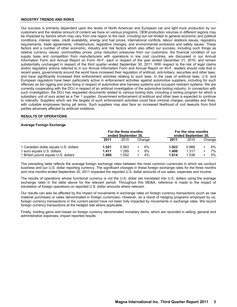### **INDUSTRY TRENDS AND RISKS**

Our success is primarily dependent upon the levels of North American and European car and light truck production by our customers and the relative amount of content we have on various programs. OEM production volumes in different regions may be impacted by factors which may vary from one region to the next, including but not limited to general economic and political conditions, interest rates, credit availability, energy and fuel prices, international conflicts, labour relations issues, regulatory requirements, trade agreements, infrastructure, legislative changes, and environmental emissions and safety issues. These factors and a number of other economic, industry and risk factors which also affect our success, including such things as relative currency values, commodities prices, price reduction pressures from our customers, the financial condition of our supply base and competition from manufacturers with operations in low cost countries, are discussed in our Annual Information Form and Annual Report on Form 40-F, each in respect of the year ended December 31, 2010, and remain substantially unchanged in respect of the third quarter ended September 30, 2011. With respect to the risk of legal claims and/or regulatory actions referred to in our Annual Information Form and Annual Report on 40-F, readers should note that in recent years, governments around the world have increased their regulation of antitrust, anti-bribery, securities and other laws, and have significantly increased their enforcement activities relating to such laws. In the case of antitrust laws, U.S. and European regulators have been particularly active in enforcement activities against automotive suppliers, including for such offences as bid rigging and price fixing in respect of automotive wire harness systems and occupant restraint systems. We are currently cooperating with the DOJ in respect of an antitrust investigation of the automotive tooling industry. In connection with such investigation, the DOJ has requested documents related to various tooling bids, including a tooling program for which a subsidiary unit of ours acted as a Tier 1 supplier. Government enforcement of antitrust and other laws is expected to continue to intensify. Suppliers which are the targets of such enforcement activities could face criminal charges, penalties and fines, with culpable employees facing jail terms. Such suppliers may also face an increased likelihood of civil lawsuits from third parties adversely affected by antitrust violations.

### **RESULTS OF OPERATIONS**

### **Average Foreign Exchange**

|                                       | For the three months<br>ended September 30, |       |           | For the nine months<br>ended September 30. |       |                 |
|---------------------------------------|---------------------------------------------|-------|-----------|--------------------------------------------|-------|-----------------|
|                                       | 2011                                        | 2010  | Change    | 2011                                       | 2010  | Change          |
| 1 Canadian dollar equals U.S. dollars | 1.021                                       | 0.963 | 6%        | 1.023                                      | 0.966 | 6%<br>$\ddot{}$ |
| 1 euro equals U.S. dollars            | 1.411                                       | 1.295 | 9%<br>$+$ | 1.406                                      | 1.317 | 7%<br>$\ddot{}$ |
| 1 British pound equals U.S. dollars   | 1.609                                       | 1.552 | 4%        | 1.614                                      | 1.536 | 5%              |

The preceding table reflects the average foreign exchange rates between the most common currencies in which we conduct business and our U.S. dollar reporting currency. The significant changes in these foreign exchange rates for the three months and nine months ended September 30, 2011 impacted the reported U.S. dollar amounts of our sales, expenses and income.

The results of operations whose functional currency is not the U.S. dollar are translated into U.S. dollars using the average exchange rates in the table above for the relevant period. Throughout this MD&A, reference is made to the impact of translation of foreign operations on reported U.S. dollar amounts where relevant.

Our results can also be affected by the impact of movements in exchange rates on foreign currency transactions (such as raw material purchases or sales denominated in foreign currencies). However, as a result of hedging programs employed by us, foreign currency transactions in the current period have not been fully impacted by movements in exchange rates. We record foreign currency transactions at the hedged rate where applicable.

Finally, holding gains and losses on foreign currency denominated monetary items, which are recorded in selling, general and administrative expenses, impact reported results.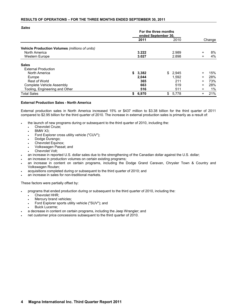# **RESULTS OF OPERATIONS – FOR THE THREE MONTHS ENDED SEPTEMBER 30, 2011**

*Sales*

|                                                | For the three months<br>ended September 30, |       |     |       |           |        |
|------------------------------------------------|---------------------------------------------|-------|-----|-------|-----------|--------|
|                                                |                                             | 2011  |     | 2010  |           | Change |
| Vehicle Production Volumes (millions of units) |                                             |       |     |       |           |        |
| North America                                  |                                             | 3.222 |     | 2.989 | $\ddot{}$ | 8%     |
| <b>Western Europe</b>                          |                                             | 3.027 |     | 2.898 | $\ddot{}$ | 4%     |
| <b>Sales</b>                                   |                                             |       |     |       |           |        |
| <b>External Production</b>                     |                                             |       |     |       |           |        |
| North America                                  | \$                                          | 3,382 | \$. | 2.945 | $\ddot{}$ | 15%    |
| Europe                                         |                                             | 2,044 |     | 1,592 | $\pm$     | 28%    |
| Rest of World                                  |                                             | 365   |     | 211   | $\ddot{}$ | 73%    |
| Complete Vehicle Assembly                      |                                             | 663   |     | 519   | $\ddot{}$ | 28%    |
| Tooling, Engineering and Other                 |                                             | 516   |     | 511   | $\ddot{}$ | $1\%$  |
| <b>Total Sales</b>                             | \$                                          | 6,970 | \$  | 5,778 | $\ddot{}$ | 21%    |

# **External Production Sales - North America**

External production sales in North America increased 15% or \$437 million to \$3.38 billion for the third quarter of 2011 compared to \$2.95 billion for the third quarter of 2010. The increase in external production sales is primarily as a result of:

- the launch of new programs during or subsequent to the third quarter of 2010, including the:
	- Chevrolet Cruze;
	- BMW X3;
	- Ford Explorer cross utility vehicle ("CUV");
	- Dodge Durango;
	- Chevrolet Equinox;
	- Volkswagen Passat; and
	- Chevrolet Volt;
- an increase in reported U.S. dollar sales due to the strengthening of the Canadian dollar against the U.S. dollar;
- an increase in production volumes on certain existing programs;
- an increase in content on certain programs, including the Dodge Grand Caravan, Chrysler Town & Country and Volkswagen Routan;
- acquisitions completed during or subsequent to the third quarter of 2010; and
- an increase in sales for non-traditional markets.

These factors were partially offset by:

- programs that ended production during or subsequent to the third quarter of 2010, including the:
	- Chevrolet HHR;
	- Mercury brand vehicles;
	- Ford Explorer sports utility vehicle ("SUV"); and
	- Buick Lucerne;
- a decrease in content on certain programs, including the Jeep Wrangler; and
- net customer price concessions subsequent to the third quarter of 2010.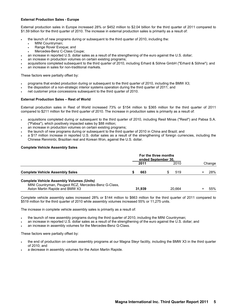# **External Production Sales - Europe**

External production sales in Europe increased 28% or \$452 million to \$2.04 billion for the third quarter of 2011 compared to \$1.59 billion for the third quarter of 2010. The increase in external production sales is primarily as a result of:

- the launch of new programs during or subsequent to the third quarter of 2010, including the:
	- MINI Countryman;
	- Range Rover Evoque; and
	- Mercedes-Benz C-Class Coupe;
- an increase in reported U.S. dollar sales as a result of the strengthening of the euro against the U.S. dollar;
- an increase in production volumes on certain existing programs;
- acquisitions completed subsequent to the third quarter of 2010, including Erhard & Söhne GmbH ("Erhard & Söhne"); and
- an increase in sales for non-traditional markets.

These factors were partially offset by:

- programs that ended production during or subsequent to the third quarter of 2010, including the BMW X3;
- the disposition of a non-strategic interior systems operation during the third quarter of 2011; and
- net customer price concessions subsequent to the third quarter of 2010.

# **External Production Sales – Rest of World**

External production sales in Rest of World increased 73% or \$154 million to \$365 million for the third quarter of 2011 compared to \$211 million for the third quarter of 2010. The increase in production sales is primarily as a result of:

- acquisitions completed during or subsequent to the third quarter of 2010, including Resil Minas ("Resil") and Pabsa S.A. ("Pabsa"), which positively impacted sales by \$88 million;
- an increase in production volumes on certain existing programs;
- the launch of new programs during or subsequent to the third quarter of 2010 in China and Brazil; and
- a \$17 million increase in reported U.S. dollar sales as a result of the strengthening of foreign currencies, including the Chinese Renminbi, Brazilian real and Korean Won, against the U.S. dollar.

### **Complete Vehicle Assembly Sales**

|                                                                                                          | For the three months<br>ended September 30, |      |  |      |  |        |
|----------------------------------------------------------------------------------------------------------|---------------------------------------------|------|--|------|--|--------|
|                                                                                                          |                                             | 2011 |  | 2010 |  | Change |
| <b>Complete Vehicle Assembly Sales</b>                                                                   |                                             | 663  |  | 519  |  | 28%    |
| <b>Complete Vehicle Assembly Volumes (Units)</b><br>MINI Countryman, Peugeot PCZ, Mercedes Benz C. Class |                                             |      |  |      |  |        |

| Aston Martin Rapide and BMW X3                       | 31.939 | 20.664 | 55% |
|------------------------------------------------------|--------|--------|-----|
| MINI Countryman, Peugeot RCZ, Mercedes-Benz G-Class, |        |        |     |

Complete vehicle assembly sales increased 28% or \$144 million to \$663 million for the third quarter of 2011 compared to \$519 million for the third quarter of 2010 while assembly volumes increased 55% or 11,275 units.

The increase in complete vehicle assembly sales is primarily as a result of:

- the launch of new assembly programs during the third quarter of 2010, including the MINI Countryman;
- an increase in reported U.S. dollar sales as a result of the strengthening of the euro against the U.S. dollar; and
- an increase in assembly volumes for the Mercedes-Benz G-Class.

These factors were partially offset by:

- the end of production on certain assembly programs at our Magna Steyr facility, including the BMW X3 in the third quarter of 2010; and
- a decrease in assembly volumes for the Aston Martin Rapide.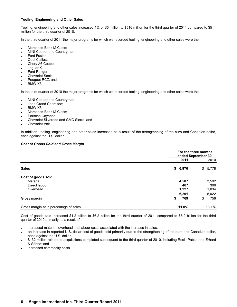# **Tooling, Engineering and Other Sales**

Tooling, engineering and other sales increased 1% or \$5 million to \$516 million for the third quarter of 2011 compared to \$511 million for the third quarter of 2010.

In the third quarter of 2011 the major programs for which we recorded tooling, engineering and other sales were the:

- Mercedes-Benz M-Class;
- MINI Cooper and Countryman;
- Ford Fusion;
- Opel Calibra;
- Chery A6 Coupe;
- Jaguar XJ;
- Ford Ranger;
- Chevrolet Sonic;
- Peugeot RCZ; and
- BMW X3.

In the third quarter of 2010 the major programs for which we recorded tooling, engineering and other sales were the:

- MINI Cooper and Countryman;
- Jeep Grand Cherokee;
- BMW X3:
- Mercedes-Benz M-Class;
- Porsche Cayenne;
- Chevrolet Silverado and GMC Sierra; and
- Chevrolet Volt.

In addition, tooling, engineering and other sales increased as a result of the strengthening of the euro and Canadian dollar, each against the U.S. dollar.

# *Cost of Goods Sold and Gross Margin*

|                                       |         | For the three months<br>ended September 30, |         |  |  |
|---------------------------------------|---------|---------------------------------------------|---------|--|--|
|                                       | 2011    |                                             | 2010    |  |  |
| <b>Sales</b>                          | \$6,970 |                                             | \$5,778 |  |  |
| Cost of goods sold                    |         |                                             |         |  |  |
| Material                              | 4,507   |                                             | 3,592   |  |  |
| Direct labour                         |         | 467                                         | 396     |  |  |
| Overhead                              | 1,227   |                                             | 1,034   |  |  |
|                                       | 6,201   |                                             | 5,022   |  |  |
| Gross margin                          | S       | 769<br>\$                                   | 756     |  |  |
| Gross margin as a percentage of sales | 11.0%   |                                             | 13.1%   |  |  |

Cost of goods sold increased \$1.2 billion to \$6.2 billion for the third quarter of 2011 compared to \$5.0 billion for the third quarter of 2010 primarily as a result of:

- increased material, overhead and labour costs associated with the increase in sales;
- an increase in reported U.S. dollar cost of goods sold primarily due to the strengthening of the euro and Canadian dollar, each against the U.S. dollar;
- \$132 million related to acquisitions completed subsequent to the third quarter of 2010, including Resil, Pabsa and Erhard & Söhne; and
- increased commodity costs.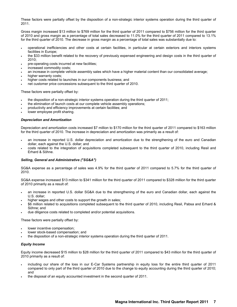These factors were partially offset by the disposition of a non-strategic interior systems operation during the third quarter of 2011.

Gross margin increased \$13 million to \$769 million for the third quarter of 2011 compared to \$756 million for the third quarter of 2010 and gross margin as a percentage of total sales decreased to 11.0% for the third quarter of 2011 compared to 13.1% for the third quarter of 2010. The decrease in gross margin as a percentage of total sales was substantially due to:

- operational inefficiencies and other costs at certain facilities, in particular at certain exteriors and interiors systems facilities in Europe;
- the \$33 million benefit related to the recovery of previously expensed engineering and design costs in the third quarter of 2010;
- pre-operating costs incurred at new facilities;
- increased commodity costs;
- an increase in complete vehicle assembly sales which have a higher material content than our consolidated average;
- higher warranty costs:
- higher costs related to launches in our components business; and
- net customer price concessions subsequent to the third quarter of 2010.

These factors were partially offset by:

- the disposition of a non-strategic interior systems operation during the third quarter of 2011;
- the elimination of launch costs at our complete vehicle assembly operations;
- productivity and efficiency improvements at certain facilities; and
- lower employee profit sharing.

# *Depreciation and Amortization*

Depreciation and amortization costs increased \$7 million to \$170 million for the third quarter of 2011 compared to \$163 million for the third quarter of 2010. The increase in depreciation and amortization was primarily as a result of:

- an increase in reported U.S. dollar depreciation and amortization due to the strengthening of the euro and Canadian dollar, each against the U.S. dollar; and
- costs related to the integration of acquisitions completed subsequent to the third quarter of 2010, including Resil and Erhard & Söhne.

# *Selling, General and Administrative ("SG&A")*

SG&A expense as a percentage of sales was 4.9% for the third quarter of 2011 compared to 5.7% for the third quarter of 2010.

SG&A expense increased \$13 million to \$341 million for the third quarter of 2011 compared to \$328 million for the third quarter of 2010 primarily as a result of:

- an increase in reported U.S. dollar SG&A due to the strengthening of the euro and Canadian dollar, each against the U.S. dollar;
- higher wages and other costs to support the growth in sales;
- \$6 million related to acquisitions completed subsequent to the third quarter of 2010, including Resil, Pabsa and Erhard & Söhne; and
- due diligence costs related to completed and/or potential acquisitions.

These factors were partially offset by:

- lower incentive compensation;
- lower stock-based compensation; and
- the disposition of a non-strategic interior systems operation during the third quarter of 2011.

# *Equity Income*

Equity income decreased \$15 million to \$28 million for the third quarter of 2011 compared to \$43 million for the third quarter of 2010 primarily as a result of:

- including our share of the loss in our E-Car Systems partnership in equity loss for the entire third quarter of 2011 compared to only part of the third quarter of 2010 due to the change to equity accounting during the third quarter of 2010; and
- the disposal of an equity accounted investment in the second quarter of 2011.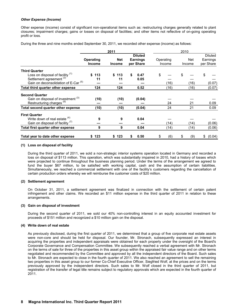# *Other Expense (Income)*

Other expense (income) consist of significant non-operational items such as: restructuring charges generally related to plant closures; impairment charges; gains or losses on disposal of facilities; and other items not reflective of on-going operating profit or loss.

During the three and nine months ended September 30, 2011, we recorded other expense (income) as follows:

|                                                 |                     | 2011                        |                                                |                     | 2010          |                                  |
|-------------------------------------------------|---------------------|-----------------------------|------------------------------------------------|---------------------|---------------|----------------------------------|
|                                                 | Operating<br>Income | <b>Net</b><br><b>Income</b> | <b>Diluted</b><br><b>Earnings</b><br>per Share | Operating<br>Income | Net<br>Income | Diluted<br>Earnings<br>per Share |
| <b>Third Quarter</b>                            |                     |                             |                                                |                     |               |                                  |
| Loss on disposal of facility (1)                | \$113               | \$113                       | 0.47<br>S                                      | \$                  |               | \$                               |
| Settlement agreement <sup>(2)</sup>             | 11                  | 11                          | 0.05                                           |                     |               |                                  |
| Gain on deconsolidation of E-Car <sup>(5)</sup> |                     |                             |                                                | (16)                | (16)          | (0.07)                           |
| Total third quarter other expense               | 124                 | 124                         | 0.52                                           | (16)                | (16)          | (0.07)                           |
| <b>Second Quarter</b>                           |                     |                             |                                                |                     |               |                                  |
| Gain on disposal of investment (3)              | (10)                | (10)                        | (0.04)                                         |                     |               |                                  |
| Restructuring charges <sup>(6)</sup>            |                     |                             |                                                | 24                  | 21            | 0.09                             |
| Total second quarter other expense              | (10)                | (10)                        | (0.04)                                         | 24                  | 21            | 0.09                             |
| <b>First Quarter</b>                            |                     |                             |                                                |                     |               |                                  |
| Write down of real estate (4)                   | 9                   | 9                           | 0.04                                           |                     |               |                                  |
| Gain on disposal of facility <sup>(7)</sup>     |                     |                             |                                                | (14)                | (14)          | (0.06)                           |
| Total first quarter other expense               | 9                   | 9                           | 0.04                                           | (14)                | (14)          | (0.06)                           |
| Total year to date other expense                | 123                 | 123                         | 0.50                                           | (6)<br>S            | (9)           | (0.04)<br>\$                     |

### **(1) Loss on disposal of facility**

During the third quarter of 2011, we sold a non-strategic interior systems operation located in Germany and recorded a loss on disposal of \$113 million. This operation, which was substantially impaired in 2010, had a history of losses which were projected to continue throughout the business planning period. Under the terms of the arrangement we agreed to fund the buyer \$67 million, to be satisfied with working capital, cash and the assumption of certain liabilities. Simultaneously, we reached a commercial settlement with one of the facility's customers regarding the cancellation of certain production orders whereby we will reimburse the customer costs of \$20 million.

# **(2) Settlement agreement**

On October 31, 2011, a settlement agreement was finalized in connection with the settlement of certain patent infringement and other claims. We recorded an \$11 million expense in the third quarter of 2011 in relation to these arrangements.

# **(3) Gain on disposal of investment**

During the second quarter of 2011, we sold our 40% non-controlling interest in an equity accounted investment for proceeds of \$151 million and recognized a \$10 million gain on the disposal.

# **(4) Write down of real estate**

As previously disclosed, during the first quarter of 2011, we determined that a group of five corporate real estate assets were non-core and should be held for disposal. Our founder, Mr. Stronach, subsequently expressed an interest in acquiring the properties and independent appraisals were obtained for each property under the oversight of the Board's Corporate Governance and Compensation Committee. We subsequently reached a verbal agreement with Mr. Stronach on the terms of sale for three of the properties in this asset group within the appraised fair value range and on other terms negotiated and recommended by the Committee and approved by all the independent directors of the Board. Such sales to Mr. Stronach are expected to close in the fourth quarter of 2011. We also reached an agreement to sell the remaining two properties in this asset group to our former Co-Chief Executive Officer, Siegfried Wolf, at the prices and on the terms previously approved by the independent directors. Such sales to Mr. Wolf closed in the third quarter of 2011, but registration of the transfer of legal title remains subject to regulatory approvals which are expected in the fourth quarter of 2011.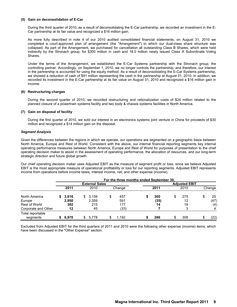#### **(5) Gain on deconsolidation of E-Car**

During the third quarter of 2010, as a result of deconsolidating the E-Car partnership, we recorded an investment in the E-Car partnership at its fair value and recognized a \$16 million gain.

As more fully described in note 4 of our 2010 audited consolidated financial statements, on August 31, 2010 we completed a court-approved plan of arrangement (the "Arrangement") in which our dual-class share structure was collapsed. As part of the Arrangement, we purchased for cancellation all outstanding Class B Shares, which were held indirectly by the Stronach group, for \$300 million in cash and 18.0 million newly issued Class A Subordinate Voting Shares.

Under the terms of the Arrangement, we established the E-Car Systems partnership with the Stronach group, the controlling partner. Accordingly, on September 1, 2010, we no longer controls the partnership, and therefore, our interest in the partnership is accounted for using the equity method. As a result of deconsolidating the E-Car Systems partnership, we showed a reduction of cash of \$91 million representing the cash in the partnership at August 31, 2010. In addition, we recorded its investment in the E-Car partnership at its fair value on August 31, 2010 and recognized a \$16 million gain in income.

### **(6) Restructuring charges**

During the second quarter of 2010, we recorded restructuring and rationalization costs of \$24 million related to the planned closure of a powertrain systems facility and two body & chassis systems facilities in North America.

### **(7) Gain on disposal of facility**

During the first quarter of 2010, we sold our interest in an electronics systems joint venture in China for proceeds of \$30 million and recognized a \$14 million gain on the disposal.

### *Segment Analysis*

Given the differences between the regions in which we operate, our operations are segmented on a geographic basis between North America, Europe and Rest of World. Consistent with the above, our internal financial reporting segments key internal operating performance measures between North America, Europe and Rest of World for purposes of presentation to the chief operating decision maker to assist in the assessment of operating performance, the allocation of resources, and our long-term strategic direction and future global growth.

Our chief operating decision maker uses Adjusted EBIT as the measure of segment profit or loss, since we believe Adjusted EBIT is the most appropriate measure of operational profitability or loss for our reporting segments. Adjusted EBIT represents income from operations before income taxes; interest income, net; and other expense (income).

|                              |       |    |                       |   | For the three months ended September 30. |      |   |                      |            |
|------------------------------|-------|----|-----------------------|---|------------------------------------------|------|---|----------------------|------------|
|                              |       |    | <b>External Sales</b> |   |                                          |      |   | <b>Adjusted EBIT</b> |            |
|                              | 2011  |    | 2010                  |   | Change                                   | 2011 |   | 2010                 | Change     |
| North America                | 3,616 | S. | 3,159                 | S | 457                                      | 300  |   | 275                  | 25         |
| Europe                       | 2,950 |    | 2,359                 |   | 591                                      | (35) |   | 12                   | (47)       |
| Rest of World                | 392   |    | 215                   |   | 177                                      | 14   |   | 18                   | (4)        |
| Corporate and Other          | 12    |    | 45                    |   | (33)                                     |      |   |                      | 4          |
| Total reportable<br>segments | 6.970 | S. | 5.778                 | S | 1.192                                    | 286  | S | 308                  | \$<br>(22) |

Excluded from Adjusted EBIT for the third quarters of 2011 and 2010 were the following other expense (income) items, which have been discussed in the "Other Expense" section.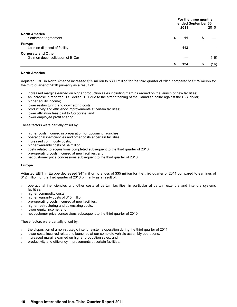|                                                                |          | For the three months<br>ended September 30, |  |  |  |  |
|----------------------------------------------------------------|----------|---------------------------------------------|--|--|--|--|
|                                                                | 2011     | 2010                                        |  |  |  |  |
| <b>North America</b><br>Settlement agreement                   | 11       | S                                           |  |  |  |  |
| <b>Europe</b><br>Loss on disposal of facility                  | 113      |                                             |  |  |  |  |
| <b>Corporate and Other</b><br>Gain on deconsolidation of E-Car |          | (16)                                        |  |  |  |  |
|                                                                | 124<br>S | (16)                                        |  |  |  |  |

# **North America**

Adjusted EBIT in North America increased \$25 million to \$300 million for the third quarter of 2011 compared to \$275 million for the third quarter of 2010 primarily as a result of:

- increased margins earned on higher production sales including margins earned on the launch of new facilities;
- an increase in reported U.S. dollar EBIT due to the strengthening of the Canadian dollar against the U.S. dollar;
- higher equity income;
- lower restructuring and downsizing costs;
- productivity and efficiency improvements at certain facilities;
- lower affiliation fees paid to Corporate; and
- lower employee profit sharing.

These factors were partially offset by:

- higher costs incurred in preparation for upcoming launches;
- operational inefficiencies and other costs at certain facilities;
- increased commodity costs;
- higher warranty costs of \$4 million;
- costs related to acquisitions completed subsequent to the third quarter of 2010;
- pre-operating costs incurred at new facilities; and
- net customer price concessions subsequent to the third quarter of 2010.

#### **Europe**

Adjusted EBIT in Europe decreased \$47 million to a loss of \$35 million for the third quarter of 2011 compared to earnings of \$12 million for the third quarter of 2010 primarily as a result of:

- operational inefficiencies and other costs at certain facilities, in particular at certain exteriors and interiors systems facilities;
- higher commodity costs;
- higher warranty costs of \$15 million;
- pre-operating costs incurred at new facilities;
- higher restructuring and downsizing costs;
- lower equity income; and
- net customer price concessions subsequent to the third quarter of 2010.

These factors were partially offset by:

- the disposition of a non-strategic interior systems operation during the third quarter of 2011;
- lower costs incurred related to launches at our complete vehicle assembly operations;
- increased margins earned on higher production sales; and
- productivity and efficiency improvements at certain facilities.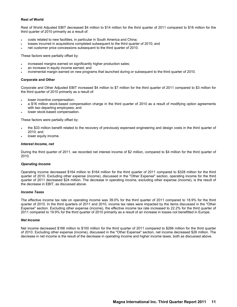### **Rest of World**

Rest of World Adjusted EBIT decreased \$4 million to \$14 million for the third quarter of 2011 compared to \$18 million for the third quarter of 2010 primarily as a result of:

- costs related to new facilities, in particular in South America and China;
- losses incurred in acquisitions completed subsequent to the third quarter of 2010; and
- net customer price concessions subsequent to the third quarter of 2010.

These factors were partially offset by:

- increased margins earned on significantly higher production sales;
- an increase in equity income earned; and
- incremental margin earned on new programs that launched during or subsequent to the third quarter of 2010.

### **Corporate and Other**

Corporate and Other Adjusted EBIT increased \$4 million to \$7 million for the third quarter of 2011 compared to \$3 million for the third quarter of 2010 primarily as a result of:

- lower incentive compensation;
- a \$16 million stock-based compensation charge in the third quarter of 2010 as a result of modifying option agreements with two departing employees; and
- lower stock-based compensation.

These factors were partially offset by:

- the \$33 million benefit related to the recovery of previously expensed engineering and design costs in the third quarter of 2010; and
- lower equity income.

### *Interest Income, net*

During the third quarter of 2011, we recorded net interest income of \$2 million, compared to \$4 million for the third quarter of 2010.

#### *Operating Income*

Operating income decreased \$164 million to \$164 million for the third quarter of 2011 compared to \$328 million for the third quarter of 2010. Excluding other expense (income), discussed in the "Other Expense" section, operating income for the third quarter of 2011 decreased \$24 million. The decrease in operating income, excluding other expense (income), is the result of the decrease in EBIT, as discussed above.

#### *Income Taxes*

The effective income tax rate on operating income was 39.0% for the third quarter of 2011 compared to 18.9% for the third quarter of 2010. In the third quarters of 2011 and 2010, income tax rates were impacted by the items discussed in the "Other Expense" section. Excluding other expense (income), the effective income tax rate increased to 22.2% for the third quarter of 2011 compared to 19.9% for the third quarter of 2010 primarily as a result of an increase in losses not benefitted in Europe.

#### *Net Income*

Net income decreased \$166 million to \$100 million for the third quarter of 2011 compared to \$266 million for the third quarter of 2010. Excluding other expense (income), discussed in the "Other Expense" section, net income decreased \$26 million. The decrease in net income is the result of the decrease in operating income and higher income taxes, both as discussed above.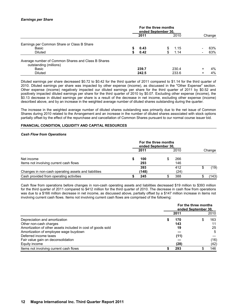# *Earnings per Share*

|                                                    | For the three months<br>ended September 30, |   |       |                          |        |
|----------------------------------------------------|---------------------------------------------|---|-------|--------------------------|--------|
|                                                    | 2011                                        |   | 2010  |                          | Change |
| Earnings per Common Share or Class B Share         |                                             |   |       |                          |        |
| Basic                                              | 0.43                                        | S | 1.15  | $\overline{\phantom{0}}$ | 63%    |
| <b>Diluted</b>                                     | 0.42                                        | S | 1.14  |                          | 63%    |
| Average number of Common Shares and Class B Shares |                                             |   |       |                          |        |
| outstanding (millions)                             |                                             |   |       |                          |        |
| Basic                                              | 239.7                                       |   | 230.4 | $\ddot{}$                | 4%     |
| <b>Diluted</b>                                     | 242.5                                       |   | 233.6 | $\div$                   | 4%     |

Diluted earnings per share decreased \$0.72 to \$0.42 for the third quarter of 2011 compared to \$1.14 for the third quarter of 2010. Diluted earnings per share was impacted by other expense (income), as discussed in the "Other Expense" section. Other expense (income) negatively impacted our diluted earnings per share for the third quarter of 2011 by \$0.52 and positively impacted diluted earnings per share for the third quarter of 2010 by \$0.07. Excluding other expense (income), the \$0.13 decrease in diluted earnings per share is a result of the decrease in net income, excluding other expense (income) described above, and by an increase in the weighted average number of diluted shares outstanding during the quarter.

The increase in the weighted average number of diluted shares outstanding was primarily due to the net issue of Common Shares during 2010 related to the Arrangement and an increase in the number of diluted shares associated with stock options partially offset by the effect of the repurchase and cancellation of Common Shares pursuant to our normal course issuer bid.

### **FINANCIAL CONDITION, LIQUIDITY AND CAPITAL RESOURCES**

#### *Cash Flow from Operations*

|                                                      | For the three months<br>ended September 30, |              |  |             |        |
|------------------------------------------------------|---------------------------------------------|--------------|--|-------------|--------|
|                                                      |                                             | 2011         |  | 2010        | Change |
| Net income<br>Items not involving current cash flows |                                             | 100<br>293   |  | 266<br>146  |        |
| Changes in non-cash operating assets and liabilities |                                             | 393<br>(148) |  | 412<br>(24) | (19)   |
| Cash provided from operating activities              |                                             | 245          |  | 388         | (143)  |

Cash flow from operations before changes in non-cash operating assets and liabilities decreased \$19 million to \$393 million for the third quarter of 2011 compared to \$412 million for the third quarter of 2010. The decrease in cash flow from operations was due to a \$166 million decrease in net income, as discussed above, partially offset by a \$147 million increase in items not involving current cash flows. Items not involving current cash flows are comprised of the following:

|                                                             | For the three months<br>ended September 30. |  |      |  |  |  |
|-------------------------------------------------------------|---------------------------------------------|--|------|--|--|--|
|                                                             | 2011                                        |  | 2010 |  |  |  |
| Depreciation and amortization                               | 170                                         |  | 163  |  |  |  |
| Other non-cash charges                                      | 143                                         |  | 11   |  |  |  |
| Amortization of other assets included in cost of goods sold | 19                                          |  | 25   |  |  |  |
| Amortization of employee wage buydown                       |                                             |  | 5    |  |  |  |
| Deferred income taxes                                       | (11)                                        |  |      |  |  |  |
| Fair value gain on deconsolidation                          |                                             |  | (16) |  |  |  |
| Equity income                                               | (28)                                        |  | (42) |  |  |  |
| Items not involving current cash flows                      | 293                                         |  | 146  |  |  |  |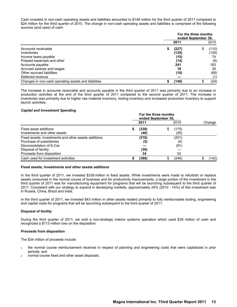Cash invested in non-cash operating assets and liabilities amounted to \$148 million for the third quarter of 2011 compared to \$24 million for the third quarter of 2010. The change in non-cash operating assets and liabilities is comprised of the following sources (and uses) of cash:

|                                                      | For the three months<br>ended September 30, |       |    |       |  |  |  |
|------------------------------------------------------|---------------------------------------------|-------|----|-------|--|--|--|
|                                                      |                                             | 2011  |    | 2010  |  |  |  |
| Accounts receivable                                  | \$                                          | (227) | \$ | (110) |  |  |  |
| Inventories                                          |                                             | (135) |    | (126) |  |  |  |
| Income taxes payable                                 |                                             | (15)  |    | 74    |  |  |  |
| Prepaid expenses and other                           |                                             | (14)  |    | (6)   |  |  |  |
| Accounts payable                                     |                                             | 241   |    | 183   |  |  |  |
| Accrued salaries and wages                           |                                             | 18    |    | 30    |  |  |  |
| Other accrued liabilities                            |                                             | (16)  |    | (68)  |  |  |  |
| Deferred revenue                                     |                                             |       |    |       |  |  |  |
| Changes in non-cash operating assets and liabilities |                                             | (148) |    | (24)  |  |  |  |

The increase in accounts receivable and accounts payable in the third quarter of 2011 was primarily due to an increase in production activities at the end of the third quarter of 2011 compared to the second quarter of 2011. The increase in inventories was primarily due to higher raw material inventory, tooling inventory and increased production inventory to support launch activities.

# *Capital and Investment Spending*

|                                                                                                                                                                   |   | 2011                       |                     | 2010                       | Change |
|-------------------------------------------------------------------------------------------------------------------------------------------------------------------|---|----------------------------|---------------------|----------------------------|--------|
| Fixed asset additions<br>Investments and other assets                                                                                                             | Ъ | (338)<br>(40)              | (175)<br>\$<br>(26) |                            |        |
| Fixed assets, investments and other assets additions<br>Purchase of subsidiaries<br>Deconsolidation of E-Car<br>Disposal of facility<br>Proceeds from disposition |   | (378)<br>(5)<br>(39)<br>34 |                     | (201)<br>(6)<br>(91)<br>52 |        |
| Cash used for investment activities                                                                                                                               |   | (388)                      | \$                  | (246)                      | (142)  |

#### **Fixed assets, investments and other assets additions**

In the third quarter of 2011, we invested \$338 million in fixed assets. While investments were made to refurbish or replace assets consumed in the normal course of business and for productivity improvements, a large portion of the investment in the third quarter of 2011 was for manufacturing equipment for programs that will be launching subsequent to the third quarter of 2011. Consistent with our strategy to expand in developing markets, approximately 24% (2010 - 14%) of this investment was in Russia, China, Brazil and India.

In the third quarter of 2011, we invested \$43 million in other assets related primarily to fully reimbursable tooling, engineering and capital costs for programs that will be launching subsequent to the third quarter of 2011.

# **Disposal of facility**

During the third quarter of 2011, we sold a non-strategic interior systems operation which used \$39 million of cash and recognized a \$113 million loss on the disposition.

# **Proceeds from disposition**

The \$34 million of proceeds include:

- the normal course reimbursement received in respect of planning and engineering costs that were capitalized in prior periods; and
- normal course fixed and other asset disposals.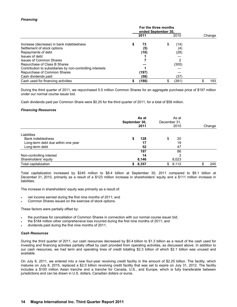# *Financing*

|                                                           |  | 2011  | 2010        | Change |
|-----------------------------------------------------------|--|-------|-------------|--------|
| Increase (decrease) in bank indebtedness                  |  | 73    | \$<br>(14)  |        |
| Settlement of stock options                               |  | (5)   | (4)         |        |
| Repayments of debt                                        |  | (10)  | (28)        |        |
| Issues of debt                                            |  |       |             |        |
| <b>Issues of Common Shares</b>                            |  |       |             |        |
| Repurchase of Class B Shares                              |  |       | (300)       |        |
| Contribution to subsidiaries by non-controlling interests |  |       |             |        |
| Repurchase of Common Shares                               |  | (197) |             |        |
| Cash dividends paid                                       |  | (58)  | (37'        |        |
| Cash used for financing activities                        |  | (188) | \$<br>(381) | 193    |

During the third quarter of 2011, we repurchased 5.5 million Common Shares for an aggregate purchase price of \$197 million under our normal course issuer bid.

Cash dividends paid per Common Share were \$0.25 for the third quarter of 2011, for a total of \$58 million.

### *Financing Resources*

|                                                      | September 30, | As at<br>2011 | December 31. | As at<br>2010 | Change |
|------------------------------------------------------|---------------|---------------|--------------|---------------|--------|
| Liabilities<br><b>Bank indebtedness</b>              | S             | 128           | \$           | 20            |        |
| Long-term debt due within one year<br>Long-term debt |               | 17<br>52      |              | 19<br>47      |        |
|                                                      |               | 197           |              | 86            |        |
| Non-controlling interest                             |               | 14            |              | 3             |        |
| Shareholders' equity                                 |               | 8,146         |              | 8,023         |        |
| Total capitalization                                 | S.            | 8,357         | \$           | 8,112         | 245    |

Total capitalization increased by \$245 million to \$8.4 billion at September 30, 2011 compared to \$8.1 billion at December 31, 2010, primarily as a result of a \$123 million increase in shareholders' equity and a \$111 million increase in liabilities.

The increase in shareholders' equity was primarily as a result of:

- net income earned during the first nine months of 2011; and
- Common Shares issued on the exercise of stock options.

These factors were partially offset by:

- the purchase for cancellation of Common Shares in connection with our normal course issuer bid;
- the \$184 million other comprehensive loss incurred during the first nine months of 2011; and
- dividends paid during the first nine months of 2011.

#### *Cash Resources*

During the third quarter of 2011, our cash resources decreased by \$0.4 billion to \$1.3 billion as a result of the cash used for investing and financing activities partially offset by cash provided from operating activities, as discussed above. In addition to our cash resources, we had term and operating lines of credit totalling \$2.3 billion of which \$2.1 billion was unused and available.

On July 8, 2011, we entered into a new four-year revolving credit facility in the amount of \$2.25 billion. The facility, which matures on July 8, 2015, replaced a \$2.0 billion revolving credit facility that was set to expire on July 31, 2012. The facility includes a \$100 million Asian tranche and a tranche for Canada, U.S., and Europe, which is fully transferable between jurisdictions and can be drawn in U.S. dollars, Canadian dollars or euros.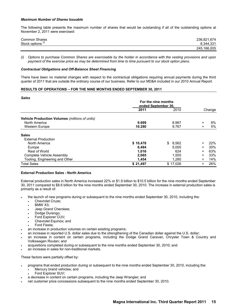#### *Maximum Number of Shares Issuable*

The following table presents the maximum number of shares that would be outstanding if all of the outstanding options at November 2, 2011 were exercised:

| <b>Common Shares</b>         | 236,821,674 |
|------------------------------|-------------|
| Stock options <sup>(i)</sup> | 8.344.331   |
|                              | 245,166,005 |

*(i) Options to purchase Common Shares are exercisable by the holder in accordance with the vesting provisions and upon payment of the exercise price as may be determined from time to time pursuant to our stock option plans.*

### *Contractual Obligations and Off-Balance Sheet Financing*

There have been no material changes with respect to the contractual obligations requiring annual payments during the third quarter of 2011 that are outside the ordinary course of our business. Refer to our MD&A included in our 2010 Annual Report.

### **RESULTS OF OPERATIONS – FOR THE NINE MONTHS ENDED SEPTEMBER 30, 2011**

#### *Sales*

| vaics                                                 | For the nine months<br>ended September 30, |             |           |        |
|-------------------------------------------------------|--------------------------------------------|-------------|-----------|--------|
|                                                       | 2011                                       | 2010        |           | Change |
| <b>Vehicle Production Volumes (millions of units)</b> |                                            |             |           |        |
| North America                                         | 9.699                                      | 8.967       | $+$       | 8%     |
| <b>Western Europe</b>                                 | 10.280                                     | 9.767       | $\ddot{}$ | 5%     |
| <b>Sales</b>                                          |                                            |             |           |        |
| <b>External Production</b>                            |                                            |             |           |        |
| North America                                         | \$10,478                                   | 8,562<br>S. | $\ddot{}$ | 22%    |
| Europe                                                | 6,484                                      | 5.005       | $\ddot{}$ | 30%    |
| Rest of World                                         | 1,016                                      | 624         | $\ddot{}$ | 63%    |
| Complete Vehicle Assembly                             | 2,065                                      | 1,555       | +         | 33%    |
| Tooling, Engineering and Other                        | 1,454                                      | 1.280       | $\ddot{}$ | 14%    |
| <b>Total Sales</b>                                    | \$21,497                                   | \$17,026    | $\ddot{}$ | 26%    |

# **External Production Sales - North America**

External production sales in North America increased 22% or \$1.9 billion to \$10.5 billion for the nine months ended September 30, 2011 compared to \$8.6 billion for the nine months ended September 30, 2010. The increase in external production sales is primarily as a result of:

- the launch of new programs during or subsequent to the nine months ended September 30, 2010, including the:
	- Chevrolet Cruze;
	- BMW X3;
	- Jeep Grand Cherokee;
	- Dodge Durango;
	- Ford Explorer CUV;
	- Chevrolet Equinox; and
	- Ford Fiesta;
- an increase in production volumes on certain existing programs;
- an increase in reported U.S. dollar sales due to the strengthening of the Canadian dollar against the U.S. dollar;
- an increase in content on certain programs, including the Dodge Grand Caravan, Chrysler Town & Country and Volkswagen Routan; and
- acquisitions completed during or subsequent to the nine months ended September 30, 2010; and
- an increase in sales for non-traditional markets.

These factors were partially offset by:

- programs that ended production during or subsequent to the nine months ended September 30, 2010, including the:
	- Mercury brand vehicles; and
	- Ford Explorer SUV;
- a decrease in content on certain programs, including the Jeep Wrangler; and
- net customer price concessions subsequent to the nine months ended September 30, 2010.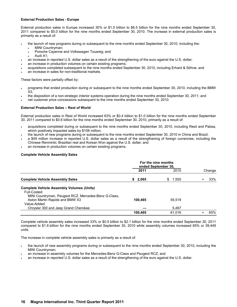# **External Production Sales - Europe**

External production sales in Europe increased 30% or \$1.5 billion to \$6.5 billion for the nine months ended September 30, 2011 compared to \$5.0 billion for the nine months ended September 30, 2010. The increase in external production sales is primarily as a result of:

- the launch of new programs during or subsequent to the nine months ended September 30, 2010, including the:
	- MINI Countryman;
	- Porsche Cayenne and Volkswagen Touareg; and
	- Audi A1;
- an increase in reported U.S. dollar sales as a result of the strengthening of the euro against the U.S. dollar;
- an increase in production volumes on certain existing programs;
- acquisitions completed subsequent to the nine months ended September 30, 2010, including Erhard & Söhne; and
- an increase in sales for non-traditional markets.

These factors were partially offset by:

- programs that ended production during or subsequent to the nine months ended September 30, 2010, including the BMW X3;
- the disposition of a non-strategic interior systems operation during the nine months ended September 30, 2011; and
- net customer price concessions subsequent to the nine months ended September 30, 2010.

### **External Production Sales – Rest of World**

External production sales in Rest of World increased 63% or \$0.4 billion to \$1.0 billion for the nine months ended September 30, 2011 compared to \$0.6 billion for the nine months ended September 30, 2010, primarily as a result of:

- acquisitions completed during or subsequent to the nine months ended September 30, 2010, including Resil and Pabsa, which positively impacted sales by \$108 million;
- the launch of new programs during or subsequent to the nine months ended September 30, 2010 in China and Brazil;
- a \$49 million increase in reported U.S. dollar sales as a result of the strengthening of foreign currencies, including the Chinese Renminbi, Brazilian real and Korean Won against the U.S. dollar; and
- an increase in production volumes on certain existing programs.

### **Complete Vehicle Assembly Sales**

|                                                      | For the nine months<br>ended September 30. |             |        |
|------------------------------------------------------|--------------------------------------------|-------------|--------|
|                                                      | 2011                                       | 2010        | Change |
| <b>Complete Vehicle Assembly Sales</b>               | 2,065<br>S.                                | 1.555<br>S. | 33%    |
| <b>Complete Vehicle Assembly Volumes (Units)</b>     |                                            |             |        |
| Full-Costed:                                         |                                            |             |        |
| MINI Countryman, Peugeot RCZ, Mercedes-Benz G-Class, |                                            |             |        |
| Aston Martin Rapide and BMW X3                       | 100.465                                    | 55.519      |        |
| Value-Added:                                         |                                            |             |        |
| Chrysler 300 and Jeep Grand Cherokee                 |                                            | 5,497       |        |
|                                                      | 100,465                                    | 61,016      | 65%    |

Complete vehicle assembly sales increased 33% or \$0.5 billion to \$2.1 billion for the nine months ended September 30, 2011 compared to \$1.6 billion for the nine months ended September 30, 2010 while assembly volumes increased 65% or 39,449 units.

The increase in complete vehicle assembly sales is primarily as a result of:

- the launch of new assembly programs during or subsequent to the nine months ended September 30, 2010, including the MINI Countryman;
- an increase in assembly volumes for the Mercedes-Benz G-Class and Peugeot RCZ; and
- an increase in reported U.S. dollar sales as a result of the strengthening of the euro against the U.S. dollar.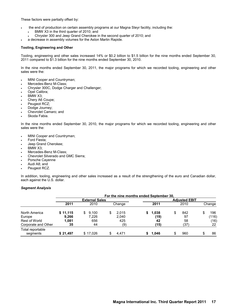These factors were partially offset by:

- the end of production on certain assembly programs at our Magna Steyr facility, including the:
	- BMW X3 in the third quarter of 2010; and
	- Chrysler 300 and Jeep Grand Cherokee in the second quarter of 2010; and
- a decrease in assembly volumes for the Aston Martin Rapide.

### **Tooling, Engineering and Other**

Tooling, engineering and other sales increased 14% or \$0.2 billion to \$1.5 billion for the nine months ended September 30, 2011 compared to \$1.3 billion for the nine months ended September 30, 2010.

In the nine months ended September 30, 2011, the major programs for which we recorded tooling, engineering and other sales were the:

- MINI Cooper and Countryman;
- Mercedes-Benz M-Class;
- Chrysler 300C, Dodge Charger and Challenger;
- Opel Calibra;
- BMW X3;
- Chery A6 Coupe;
- Peugeot RCZ;
- Dodge Journey;
- Chevrolet Camaro; and
- Skoda Fabia.

In the nine months ended September 30, 2010, the major programs for which we recorded tooling, engineering and other sales were the:

- MINI Cooper and Countryman;
- Ford Fiesta;
- Jeep Grand Cherokee;
- BMW X3;
- Mercedes-Benz M-Class;
- Chevrolet Silverado and GMC Sierra;
- Porsche Cayenne
- Audi A8; and
- Peugeot RCZ.

In addition, tooling, engineering and other sales increased as a result of the strengthening of the euro and Canadian dollar, each against the U.S. dollar.

#### *Segment Analysis*

|                              | For the nine months ended September 30. |                       |            |       |                      |         |  |  |  |
|------------------------------|-----------------------------------------|-----------------------|------------|-------|----------------------|---------|--|--|--|
|                              |                                         | <b>External Sales</b> |            |       | <b>Adjusted EBIT</b> |         |  |  |  |
|                              | 2011                                    | 2010                  | Change     | 2011  | 2010                 | Change  |  |  |  |
| North America                | \$11,115                                | 9,100<br>\$.          | 2.015<br>S | 1,038 | 842                  | 196     |  |  |  |
| Europe                       | 9,266                                   | 7,226                 | 2,040      | (19)  | 97                   | (116)   |  |  |  |
| Rest of World                | 1.081                                   | 656                   | 425        | 42    | 58                   | (16)    |  |  |  |
| Corporate and Other          | 35                                      | 44                    | (9)        | (15)  | (37)                 | 22      |  |  |  |
| Total reportable<br>segments | \$21.497                                | \$17.026              | 4.471<br>S | 1.046 | 960                  | 86<br>S |  |  |  |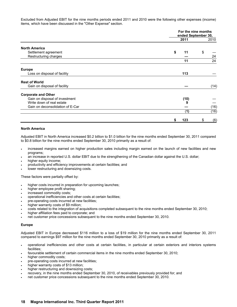Excluded from Adjusted EBIT for the nine months periods ended 2011 and 2010 were the following other expenses (income) items, which have been discussed in the "Other Expense" section.

|                                  |          | For the nine months<br>ended September 30, |
|----------------------------------|----------|--------------------------------------------|
|                                  | 2011     | 2010                                       |
| <b>North America</b>             |          |                                            |
| Settlement agreement             | \$<br>11 | \$                                         |
| Restructuring charges            |          | 24                                         |
|                                  | 11       | 24                                         |
| <b>Europe</b>                    |          |                                            |
| Loss on disposal of facility     | 113      |                                            |
| <b>Rest of World</b>             |          |                                            |
| Gain on disposal of facility     |          | (14)                                       |
| <b>Corporate and Other</b>       |          |                                            |
| Gain on disposal of investment   | (10)     |                                            |
| Write down of real estate        |          |                                            |
| Gain on deconsolidation of E-Car |          | (16)                                       |
|                                  | (1)      | (16)                                       |
|                                  | 123      | (6)<br>\$                                  |

### **North America**

Adjusted EBIT in North America increased \$0.2 billion to \$1.0 billion for the nine months ended September 30, 2011 compared to \$0.8 billion for the nine months ended September 30, 2010 primarily as a result of:

- increased margins earned on higher production sales including margin earned on the launch of new facilities and new programs;
- an increase in reported U.S. dollar EBIT due to the strengthening of the Canadian dollar against the U.S. dollar;
- higher equity income:
- productivity and efficiency improvements at certain facilities; and
- lower restructuring and downsizing costs.

These factors were partially offset by:

- higher costs incurred in preparation for upcoming launches;
- higher employee profit sharing;
- increased commodity costs;
- operational inefficiencies and other costs at certain facilities;
- pre-operating costs incurred at new facilities;
- higher warranty costs of \$9 million;
- costs related to the integration of acquisitions completed subsequent to the nine months ended September 30, 2010;
- higher affiliation fees paid to corporate; and
- net customer price concessions subsequent to the nine months ended September 30, 2010.

# **Europe**

Adjusted EBIT in Europe decreased \$116 million to a loss of \$19 million for the nine months ended September 30, 2011 compared to earnings \$97 million for the nine months ended September 30, 2010 primarily as a result of:

- operational inefficiencies and other costs at certain facilities, in particular at certain exteriors and interiors systems facilities;
- favourable settlement of certain commercial items in the nine months ended September 30, 2010;
- higher commodity costs;
- pre-operating costs incurred at new facilities;
- higher warranty costs of \$13 million;
- higher restructuring and downsizing costs;
- recovery, in the nine months ended September 30, 2010, of receivables previously provided for; and
- net customer price concessions subsequent to the nine months ended September 30, 2010.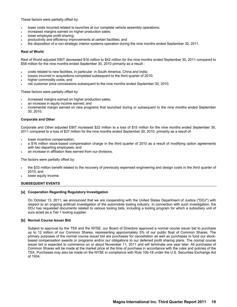These factors were partially offset by:

- lower costs incurred related to launches at our complete vehicle assembly operations;
- increased margins earned on higher production sales;
- lower employee profit sharing;
- productivity and efficiency improvements at certain facilities; and
- the disposition of a non-strategic interior systems operation during the nine months ended September 30, 2011.

#### **Rest of World**

Rest of World adjusted EBIT decreased \$16 million to \$42 million for the nine months ended September 30, 2011 compared to \$58 million for the nine months ended September 30, 2010 primarily as a result :

- costs related to new facilities, in particular in South America, China and India;
- losses incurred in acquisitions completed subsequent to the third quarter of 2010;
- higher commodity costs; and
- net customer price concessions subsequent to the nine months ended September 30, 2010.

These factors were partially offset by:

- increased margins earned on higher production sales;
- an increase in equity income earned; and
- incremental margin earned on new programs that launched during or subsequent to the nine months ended September 30, 2010.

### **Corporate and Other**

Corporate and Other adjusted EBIT increased \$22 million to a loss of \$15 million for the nine months ended September 30, 2011 compared to a loss of \$37 million for the nine months ended September 30, 2010, primarily as a result of:

- lower incentive compensation;
- a \$16 million stock-based compensation charge in the third quarter of 2010 as a result of modifying option agreements with two departing employees; and
- an increase in affiliation fees earned from our divisions.

The factors were partially offset by:

- the \$33 million benefit related to the recovery of previously expensed engineering and design costs in the third quarter of 2010; and
- lower equity income.

#### **SUBSEQUENT EVENTS**

#### **[a] Cooperation Regarding Regulatory Investigation**

On October 13, 2011, we announced that we are cooperating with the United States Department of Justice ("DOJ") with respect to an ongoing antitrust investigation of the automobile tooling industry. In connection with such investigation, the DOJ has requested documents related to various tooling bids, including a tooling program for which a subsidiary unit of ours acted as a Tier 1 tooling supplier.

#### **[b] Normal Course Issuer Bid**

Subject to approval by the TSX and the NYSE, our Board of Directors approved a normal course issuer bid to purchase up to 12 million of our Common Shares, representing approximately 5% of our public float of Common Shares. The primary purposes of the normal course issuer bid are purchases for cancellation as well as purchases to fund our stockbased compensation awards or programs and/or our obligations to our deferred profit sharing plans. The normal course issuer bid is expected to commence on or about November 11, 2011 and will terminate one year later. All purchases of Common Shares will be made at the market price at the time of purchase in accordance with the rules and policies of the TSX. Purchases may also be made on the NYSE in compliance with Rule 10b-18 under the U.S. Securities Exchange Act of 1934.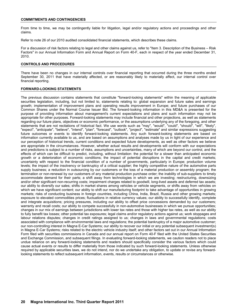### **COMMITMENTS AND CONTINGENCIES**

From time to time, we may be contingently liable for litigation, legal and/or regulatory actions and proceedings and other claims.

Refer to note 26 of our 2010 audited consolidated financial statements, which describes these claims.

For a discussion of risk factors relating to legal and other claims against us, refer to "Item 3. Description of the Business – Risk Factors" in our Annual Information Form and Annual Report on Form 40-F, each in respect of the year ended December 31, 2010.

### **CONTROLS AND PROCEDURES**

There have been no changes in our internal controls over financial reporting that occurred during the three months ended September 30, 2011 that have materially affected, or are reasonably likely to materially affect, our internal control over financial reporting.

### **FORWARD-LOOKING STATEMENTS**

The previous discussion contains statements that constitute "forward-looking statements" within the meaning of applicable securities legislation, including, but not limited to, statements relating to: global expansion and future sales and earnings growth; implementation of improvement plans and operating results improvement in Europe; and future purchases of our Common Shares under the Normal Course Issuer Bid. The forward-looking information in this MD&A is presented for the purpose of providing information about management's current expectations and plans and such information may not be appropriate for other purposes. Forward-looking statements may include financial and other projections, as well as statements regarding our future plans, objectives or economic performance, or the assumptions underlying any of the foregoing, and other statements that are not recitations of historical fact. We use words such as "may", "would", "could", "should", "will", "likely", "expect", "anticipate", "believe", "intend", "plan", "forecast", "outlook", "project", "estimate" and similar expressions suggesting future outcomes or events to identify forward-looking statements. Any such forward-looking statements are based on information currently available to us, and are based on assumptions and analyses made by us in light of our experience and our perception of historical trends, current conditions and expected future developments, as well as other factors we believe are appropriate in the circumstances. However, whether actual results and developments will conform with our expectations and predictions is subject to a number of risks, assumptions and uncertainties, many of which are beyond our control, and the effects of which can be difficult to predict, including, without limitation: the potential for a slower than anticipated economic growth or a deterioration of economic conditions; the impact of potential disruptions in the capital and credit markets; uncertainty with respect to the financial condition of a number of governments, particularly in Europe; production volume levels; the impact of the insolvency or bankruptcy of a critical supplier; the highly competitive nature of the automotive parts supply business; a reduction in outsourcing by our customers or the loss of a material production or assembly program; the termination or non-renewal by our customers of any material production purchase order; the inability of sub-suppliers to timely accommodate demand for their parts; a shift away from technologies in which we are investing; restructuring, downsizing and/or other significant non-recurring costs; impairment charges related to goodwill, long-lived assets and deferred tax assets; our ability to diversify our sales; shifts in market shares among vehicles or vehicle segments, or shifts away from vehicles on which we have significant content; our ability to shift our manufacturing footprint to take advantage of opportunities in growing markets; risks of conducting business in foreign countries, including China, India, Brazil, Russia and other growing markets; exposure to elevated commodities prices; fluctuations in relative currency values; our ability to successfully identify, complete and integrate acquisitions; pricing pressures, including our ability to offset price concessions demanded by our customers; warranty and recall costs; our ability to compete successfully in non-automotive businesses in which we pursue opportunities; changes in our mix of earnings between jurisdictions with lower tax rates and those with higher tax rates, as well as our ability to fully benefit tax losses; other potential tax exposures; legal claims and/or regulatory actions against us; work stoppages and labour relations disputes; changes in credit ratings assigned to us; changes in laws and governmental regulations; costs associated with compliance with environmental laws and regulations; the potential bankruptcy of a major automotive customer; our non-controlling interest in Magna E-Car Systems; our ability to recover our initial or any potential subsequent investment(s) in Magna E-Car Systems; risks related to the electric vehicle industry itself; and other factors set out in our Annual Information Form filed with securities commissions in Canada and our annual report on Form 40-F filed with the United States Securities and Exchange Commission, and subsequent filings. In evaluating forward-looking statements, we caution readers not to place undue reliance on any forward-looking statements and readers should specifically consider the various factors which could cause actual events or results to differ materially from those indicated by such forward-looking statements. Unless otherwise required by applicable securities laws, we do not intend, nor do we undertake any obligation, to update or revise any forwardlooking statements to reflect subsequent information, events, results or circumstances or otherwise.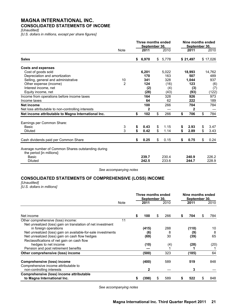# **MAGNA INTERNATIONAL INC. CONSOLIDATED STATEMENTS OF INCOME**

*[Unaudited]*

*[U.S. dollars in millions, except per share figures]*

|                                                                                 |                | Three months ended<br>September 30, |            | Nine months ended<br>September 30, |            |
|---------------------------------------------------------------------------------|----------------|-------------------------------------|------------|------------------------------------|------------|
|                                                                                 | Note           | 2011                                | 2010       | 2011                               | 2010       |
| <b>Sales</b>                                                                    |                | \$<br>6,970                         | \$5,778    | \$21,497                           | \$17,026   |
| <b>Costs and expenses</b>                                                       |                |                                     |            |                                    |            |
| Cost of goods sold                                                              |                | 6,201                               | 5,022      | 18,993                             | 14,762     |
| Depreciation and amortization                                                   |                | 170                                 | 163        | 507                                | 489        |
| Selling, general and administrative                                             | 10             | 341                                 | 328        | 1,044                              | 937        |
| Other expense (income)                                                          | $\overline{2}$ | 124                                 | (16)       | 123                                | (6)        |
| Interest income, net                                                            |                | (2)                                 | (4)        | (3)                                | (7)        |
| Equity income, net                                                              |                | (28)                                | (43)       | (93)                               | (122)      |
| Income from operations before income taxes                                      |                | 164                                 | 328        | 926                                | 973        |
| Income taxes                                                                    |                | 64                                  | 62         | 222                                | 189        |
| <b>Net income</b>                                                               |                | 100                                 | 266        | 704                                | 784        |
| Net loss attributable to non-controlling interests                              |                | 2                                   |            | 2                                  |            |
| Net income attributable to Magna International Inc.                             |                | \$<br>102                           | \$<br>266  | \$<br>706                          | \$<br>784  |
| Earnings per Common Share:                                                      |                |                                     |            |                                    |            |
| <b>Basic</b>                                                                    | 3              | \$<br>0.43                          | \$<br>1.15 | \$<br>2.93                         | \$<br>3.47 |
| <b>Diluted</b>                                                                  | 3              | \$<br>0.42                          | \$<br>1.14 | \$<br>2.89                         | \$<br>3.43 |
| Cash dividends paid per Common Share                                            |                | \$<br>0.25                          | \$<br>0.15 | \$<br>0.75                         | \$<br>0.24 |
| Average number of Common Shares outstanding during<br>the period [in millions]: |                |                                     |            |                                    |            |
| Basic                                                                           |                | 239.7                               | 230.4      | 240.9                              | 226.2      |
| <b>Diluted</b>                                                                  |                | 242.5                               | 233.6      | 244.7                              | 228.9      |

*See accompanying notes*

# **CONSOLIDATED STATEMENTS OF COMPREHENSIVE (LOSS) INCOME**

# *[Unaudited]*

*[U.S. dollars in millions]*

|                                                              |      | Three months ended<br>September 30, |           |   | Nine months ended<br>September 30, |   |      |
|--------------------------------------------------------------|------|-------------------------------------|-----------|---|------------------------------------|---|------|
|                                                              | Note | 2011                                | 2010      |   | 2011                               |   | 2010 |
| Net income                                                   |      | \$<br>100                           | \$<br>266 | S | 704                                | S | 784  |
| Other comprehensive (loss) income:                           | 11   |                                     |           |   |                                    |   |      |
| Net unrealized (loss) gain on translation of net investment  |      |                                     |           |   |                                    |   |      |
| in foreign operations                                        |      | (415)                               | 288       |   | (110)                              |   | 10   |
| Net unrealized (loss) gain on available-for-sale investments |      | (6)                                 | 8         |   | (9)                                |   | 8    |
| Net unrealized (loss) gain on cash flow hedges               |      | (69)                                | 30        |   | (39)                               |   | 65   |
| Reclassifications of net gain on cash flow                   |      |                                     |           |   |                                    |   |      |
| hedges to net income                                         |      | (10)                                | (4)       |   | (28)                               |   | (20) |
| Pension and post retirement benefits                         |      |                                     |           |   |                                    |   |      |
| Other comprehensive (loss) income                            |      | (500)                               | 323       |   | (185)                              |   | 64   |
| <b>Comprehensive (loss) income</b>                           |      | (400)                               | 589       |   | 519                                |   | 848  |
| Comprehensive income attributable to                         |      |                                     |           |   |                                    |   |      |
| non-controlling interests                                    |      | 2                                   |           |   | 3                                  |   |      |
| Comprehensive (loss) income attributable                     |      |                                     |           |   |                                    |   |      |
| to Magna International Inc.                                  |      | \$<br>(398)                         | \$<br>589 | S | 522                                | S | 848  |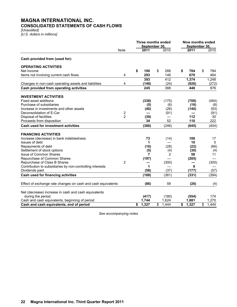# **MAGNA INTERNATIONAL INC. CONSOLIDATED STATEMENTS OF CASH FLOWS**

*[Unaudited] [U.S. dollars in millions]*

|                                                              |                  | Three months ended<br>September 30. |       |    |       | Nine months ended<br>September 30. |       |    |       |
|--------------------------------------------------------------|------------------|-------------------------------------|-------|----|-------|------------------------------------|-------|----|-------|
|                                                              | <b>Note</b>      |                                     | 2011  |    | 2010  |                                    | 2011  |    | 2010  |
| Cash provided from (used for):                               |                  |                                     |       |    |       |                                    |       |    |       |
| <b>OPERATING ACTIVITIES</b>                                  |                  |                                     |       |    |       |                                    |       |    |       |
| Net income                                                   |                  | \$                                  | 100   | \$ | 266   | \$                                 | 704   | \$ | 784   |
| Items not involving current cash flows                       | 4                |                                     | 293   |    | 146   |                                    | 670   |    | 464   |
|                                                              |                  |                                     | 393   |    | 412   |                                    | 1,374 |    | 1,248 |
| Changes in non-cash operating assets and liabilities         | 4                |                                     | (148) |    | (24)  |                                    | (926) |    | (272) |
| Cash provided from operating activities                      |                  |                                     | 245   |    | 388   |                                    | 448   |    | 976   |
| <b>INVESTMENT ACTIVITIES</b>                                 |                  |                                     |       |    |       |                                    |       |    |       |
| <b>Fixed asset additions</b>                                 |                  |                                     | (338) |    | (175) |                                    | (708) |    | (464) |
| Purchase of subsidiaries                                     |                  |                                     | (5)   |    | (6)   |                                    | (19)  |    | (8)   |
| Increase in investments and other assets                     |                  |                                     | (40)  |    | (26)  |                                    | (140) |    | (93)  |
| Deconsolidation of E-Car                                     | $\boldsymbol{2}$ |                                     |       |    | (91)  |                                    |       |    | (91)  |
| Disposal of facilities                                       | $\overline{2}$   |                                     | (39)  |    |       |                                    | 112   |    | 30    |
| Proceeds from disposition                                    |                  |                                     | 34    |    | 52    |                                    | 110   |    | 222   |
| <b>Cash used for investment activities</b>                   |                  |                                     | (388) |    | (246) |                                    | (645) |    | (404) |
| <b>FINANCING ACTIVITIES</b>                                  |                  |                                     |       |    |       |                                    |       |    |       |
| Increase (decrease) in bank indebtedness                     |                  |                                     | 73    |    | (14)  |                                    | 106   |    | 17    |
| Issues of debt                                               |                  |                                     | 1     |    |       |                                    | 10    |    | 5     |
| Repayments of debt                                           |                  |                                     | (10)  |    | (28)  |                                    | (22)  |    | (66)  |
| Settlement of stock options                                  |                  |                                     | (5)   |    | (4)   |                                    | (30)  |    | (4)   |
| <b>Issue of Common Shares</b>                                |                  |                                     | 7     |    | 2     |                                    | 58    |    | 11    |
| Repurchase of Common Shares                                  |                  |                                     | (197) |    |       |                                    | (285) |    |       |
| Repurchase of Class B Shares                                 | $\overline{2}$   |                                     |       |    | (300) |                                    |       |    | (300) |
| Contribution to subsidiaries by non-controlling interests    |                  |                                     | 1     |    |       |                                    | 9     |    |       |
| Dividends paid                                               |                  |                                     | (58)  |    | (37)  |                                    | (177) |    | (57)  |
| Cash used for financing activities                           |                  |                                     | (188) |    | (381) |                                    | (331) |    | (394) |
| Effect of exchange rate changes on cash and cash equivalents |                  |                                     | (86)  |    | 59    |                                    | (26)  |    | (4)   |
| Net (decrease) increase in cash and cash equivalents         |                  |                                     |       |    |       |                                    |       |    |       |
| during the period                                            |                  |                                     | (417) |    | (180) |                                    | (554) |    | 174   |
| Cash and cash equivalents, beginning of period               |                  |                                     | 1,744 |    | 1,624 |                                    | 1,881 |    | 1,270 |
| Cash and cash equivalents, end of period                     |                  | \$                                  | 1,327 | \$ | 1,444 | \$                                 | 1,327 | \$ | 1.444 |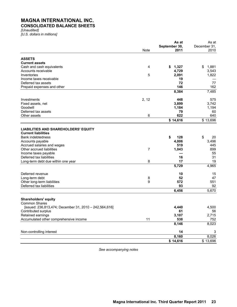# **MAGNA INTERNATIONAL INC. CONSOLIDATED BALANCE SHEETS**

*[Unaudited] [U.S. dollars in millions]*

|                                                        |       | As at         | As at        |
|--------------------------------------------------------|-------|---------------|--------------|
|                                                        |       | September 30, | December 31, |
|                                                        | Note  | 2011          | 2010         |
| <b>ASSETS</b>                                          |       |               |              |
| <b>Current assets</b>                                  |       |               |              |
| Cash and cash equivalents                              | 4     | 1,327<br>\$   | \$<br>1,881  |
| Accounts receivable                                    |       | 4,729         | 3,543        |
| Inventories                                            | 5     | 2,091         | 1,822        |
| Income taxes receivable                                |       | 19            |              |
|                                                        |       | 72            | 77           |
| Deferred tax assets                                    |       |               |              |
| Prepaid expenses and other                             |       | 146<br>8,384  | 162<br>7,485 |
|                                                        |       |               |              |
| Investments                                            | 2, 12 | 448           | 575          |
| Fixed assets, net                                      |       | 3,899         | 3,742        |
| Goodwill                                               |       | 1,184         | 1,194        |
| Deferred tax assets                                    |       | 79            | 60           |
| Other assets                                           | 6     | 622           | 640          |
|                                                        |       | \$14,616      | \$13,696     |
|                                                        |       |               |              |
| <b>LIABILITIES AND SHAREHOLDERS' EQUITY</b>            |       |               |              |
| <b>Current liabilities</b>                             |       |               |              |
| <b>Bank indebtedness</b>                               |       | \$<br>128     | \$<br>20     |
| Accounts payable                                       |       | 4,006         | 3,496        |
| Accrued salaries and wages                             |       | 519           | 445          |
| Other accrued liabilities                              | 7     | 1,043         | 899          |
| Income taxes payable                                   |       |               | 55           |
| Deferred tax liabilities                               |       | 16            | 31           |
| Long-term debt due within one year                     | 8     | 17            | 19           |
|                                                        |       | 5,729         | 4,965        |
|                                                        |       |               |              |
| Deferred revenue                                       |       | 10            | 15           |
| Long-term debt                                         | 8     | 52            | 47           |
| Other long-term liabilities                            | 9     | 572           | 551          |
| Deferred tax liabilities                               |       | 93            | 92           |
|                                                        |       | 6,456         | 5,670        |
| <b>Shareholders' equity</b>                            |       |               |              |
| <b>Common Shares</b>                                   |       |               |              |
| [issued: 236,813,474; December 31, 2010 - 242,564,616] |       | 4,440         | 4,500        |
| Contributed surplus                                    |       | 61            | 56           |
|                                                        |       |               |              |
| Retained earnings                                      | 11    | 3,107         | 2,715        |
| Accumulated other comprehensive income                 |       | 538           | 752          |
|                                                        |       | 8,146         | 8,023        |
| Non-controlling interest                               |       | 14            | 3            |
|                                                        |       | 8,160         | 8,026        |
|                                                        |       | \$14,616      | \$13,696     |
|                                                        |       |               |              |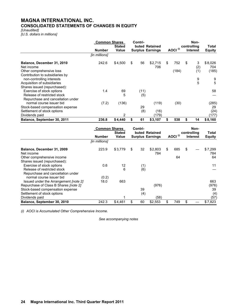# **MAGNA INTERNATIONAL INC. CONSOLIDATED STATEMENTS OF CHANGES IN EQUITY**

*[Unaudited] [U.S. dollars in millions]*

|                                                              | <b>Common Shares</b> |               | Contri- |      |                         | Non- |                     |             |                 |                |  |
|--------------------------------------------------------------|----------------------|---------------|---------|------|-------------------------|------|---------------------|-------------|-----------------|----------------|--|
|                                                              |                      | <b>Stated</b> |         |      | buted Retained          |      |                     | controlling |                 |                |  |
|                                                              | <b>Number</b>        | Value         |         |      | <b>Surplus Earnings</b> |      | AOCI <sup>(i)</sup> |             | <b>Interest</b> | <b>Equity</b>  |  |
|                                                              | [in millions]        |               |         |      |                         |      |                     |             |                 |                |  |
| Balance, December 31, 2010<br>Net income                     | 242.6                | \$4,500       | \$      | 56   | \$2,715<br>706          | \$   | 752                 | \$          | 3<br>(2)        | \$8,026<br>704 |  |
| Other comprehensive loss                                     |                      |               |         |      |                         |      | (184)               |             | (1)             | (185)          |  |
| Contribution to subsidiaries by<br>non-controlling interests |                      |               |         |      |                         |      |                     |             | 9               | 9              |  |
| Acquisition of subsidiaries                                  |                      |               |         |      |                         |      |                     |             | 5               | 5              |  |
| Shares issued (repurchased):                                 |                      |               |         |      |                         |      |                     |             |                 |                |  |
| Exercise of stock options                                    | 1.4                  | 69            |         | (11) |                         |      |                     |             |                 | 58             |  |
| Release of restricted stock                                  |                      | 5             |         | (5)  |                         |      |                     |             |                 |                |  |
| Repurchase and cancellation under                            |                      |               |         |      |                         |      |                     |             |                 |                |  |
| normal course issuer bid                                     | (7.2)                | (136)         |         |      | (119)                   |      | (30)                |             |                 | (285)          |  |
| Stock-based compensation expense                             |                      |               |         | 29   |                         |      |                     |             |                 | 29             |  |
| Settlement of stock options                                  |                      |               |         | (8)  | (16)                    |      |                     |             |                 | (24)           |  |
| Dividends paid                                               |                      | 2             |         |      | (179)                   |      |                     |             |                 | (177)          |  |
| Balance, September 30, 2011                                  | 236.8                | \$4,440       | \$      | 61   | \$3,107                 | \$   | 538                 |             | 14              | \$8,160        |  |

|                                              | <b>Common Shares</b> |               | Contri- |     |                         | Non- |                     |    |                 |               |  |  |
|----------------------------------------------|----------------------|---------------|---------|-----|-------------------------|------|---------------------|----|-----------------|---------------|--|--|
|                                              |                      | <b>Stated</b> |         |     | buted Retained          |      |                     |    | controlling     | Total         |  |  |
|                                              | <b>Number</b>        | Value         |         |     | <b>Surplus Earnings</b> |      | AOCI <sup>(i)</sup> |    | <b>Interest</b> | <b>Equity</b> |  |  |
|                                              | [in millions]        |               |         |     |                         |      |                     |    |                 |               |  |  |
| Balance, December 31, 2009                   | 223.9                | \$3,779       | \$      | 32  | \$2,803                 | \$   | 685                 | \$ |                 | \$7,299       |  |  |
| Net income                                   |                      |               |         |     | 784                     |      |                     |    |                 | 784           |  |  |
| Other comprehensive income                   |                      |               |         |     |                         |      | 64                  |    |                 | 64            |  |  |
| Shares issued (repurchased):                 |                      |               |         |     |                         |      |                     |    |                 |               |  |  |
| Exercise of stock options                    | 0.6                  | 12            |         | (1) |                         |      |                     |    |                 | 11            |  |  |
| Release of restricted stock                  |                      | 6             |         | (6) |                         |      |                     |    |                 |               |  |  |
| Repurchase and cancellation under            |                      |               |         |     |                         |      |                     |    |                 |               |  |  |
| normal course issuer bid                     | (0.2)                |               |         |     |                         |      |                     |    |                 |               |  |  |
| Issued under the Arrangement <i>[note 2]</i> | 18.0                 | 663           |         |     |                         |      |                     |    |                 | 663           |  |  |
| Repurchase of Class B Shares [note 2]        |                      |               |         |     | (976)                   |      |                     |    |                 | (976)         |  |  |
| Stock-based compensation expense             |                      |               |         | 39  |                         |      |                     |    |                 | 39            |  |  |
| Settlement of stock options                  |                      |               |         | (4) |                         |      |                     |    |                 | (4)           |  |  |
| Dividends paid                               |                      |               |         |     | (58)                    |      |                     |    |                 | (57)          |  |  |
| Balance, September 30, 2010                  | 242.3                | \$4,461       | \$      | 60  | \$2,553                 | \$   | 749                 | \$ |                 | \$7,823       |  |  |

*(i) AOCI is Accumulated Other Comprehensive Income.*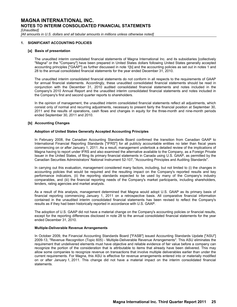*[Unaudited]*

*[All amounts in U.S. dollars and all tabular amounts in millions unless otherwise noted]*

### **1. SIGNIFICANT ACCOUNTING POLICIES**

#### **[a] Basis of presentation**

The unaudited interim consolidated financial statements of Magna International Inc. and its subsidiaries [collectively "Magna" or the "Company"] have been prepared in United States dollars following United States generally accepted accounting principles ["GAAP"] as further discussed in note 1[b] and the accounting policies as set out in notes 1 and 28 to the annual consolidated financial statements for the year ended December 31, 2010.

The unaudited interim consolidated financial statements do not conform in all respects to the requirements of GAAP for annual financial statements. Accordingly, these unaudited consolidated financial statements should be read in conjunction with the December 31, 2010 audited consolidated financial statements and notes included in the Company's 2010 Annual Report and the unaudited interim consolidated financial statements and notes included in the Company's first and second quarter reports to shareholders.

In the opinion of management, the unaudited interim consolidated financial statements reflect all adjustments, which consist only of normal and recurring adjustments, necessary to present fairly the financial position at September 30, 2011 and the results of operations, cash flows and changes in equity for the three-month and nine-month periods ended September 30, 2011 and 2010.

### **[b] Accounting Changes**

#### **Adoption of United States Generally Accepted Accounting Principles**

In February 2008, the Canadian Accounting Standards Board confirmed the transition from Canadian GAAP to International Financial Reporting Standards ["IFRS"] for all publicly accountable entities no later than fiscal years commencing on or after January 1, 2011. As a result, management undertook a detailed review of the implications of Magna having to report under IFRS and also examined the alternative available to the Company, as a Foreign Private Issuer in the United States, of filing its primary financial statements in Canada using U.S. GAAP, as permitted by the Canadian Securities Administrators' National Instrument 52-107, ''Accounting Principles and Auditing Standards''.

In carrying out this evaluation, management considered many factors, including, but not limited to (i) the changes in accounting policies that would be required and the resulting impact on the Company's reported results and key performance indicators, (ii) the reporting standards expected to be used by many of the Company's industry comparables, and (iii) the financial reporting needs of the Company's market participants, including shareholders, lenders, rating agencies and market analysts.

As a result of this analysis, management determined that Magna would adopt U.S. GAAP as its primary basis of financial reporting commencing January 1, 2011 on a retrospective basis. All comparative financial information contained in the unaudited interim consolidated financial statements has been revised to reflect the Company's results as if they had been historically reported in accordance with U.S. GAAP.

The adoption of U.S. GAAP did not have a material change on the Company's accounting policies or financial results, except for the reporting differences disclosed in note 28 to the annual consolidated financial statements for the year ended December 31, 2010.

#### **Multiple-Deliverable Revenue Arrangements**

In October 2009, the Financial Accounting Standards Board ["FASB"] issued Accounting Standards Update ["ASU"] 2009-13, "Revenue Recognition (Topic 605) - Multiple-Deliverable Revenue Arrangements". This ASU eliminates the requirement that undelivered elements must have objective and reliable evidence of fair value before a company can recognize the portion of the consideration that is attributable to items that already have been delivered. This may allow some companies to recognize revenue on transactions that involve multiple deliverables earlier than under the current requirements. For Magna, this ASU is effective for revenue arrangements entered into or materially modified on or after January 1, 2011. This change did not have a material impact on the interim consolidated financial statements.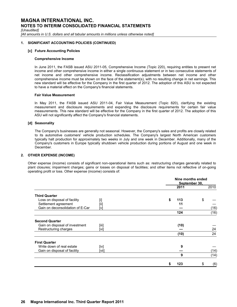*[Unaudited]*

*[All amounts in U.S. dollars and all tabular amounts in millions unless otherwise noted]*

### **1. SIGNIFICANT ACCOUNTING POLICIES (CONTINUED)**

#### **[c] Future Accounting Policies**

#### **Comprehensive Income**

In June 2011, the FASB issued ASU 2011-05, Comprehensive Income (Topic 220), requiring entities to present net income and other comprehensive income in either a single continuous statement or in two consecutive statements of net income and other comprehensive income. Reclassification adjustments between net income and other comprehensive income must be shown on the face of the statement(s), with no resulting change in net earnings. This new standard will be effective for the Company in the first quarter of 2012. The adoption of this ASU is not expected to have a material effect on the Company's financial statements.

#### **Fair Value Measurement**

In May 2011, the FASB issued ASU 2011-04, Fair Value Measurement (Topic 820), clarifying the existing measurement and disclosure requirements and expanding the disclosure requirements for certain fair value measurements. This new standard will be effective for the Company in the first quarter of 2012. The adoption of this ASU will not significantly affect the Company's financial statements.

### **[d] Seasonality**

The Company's businesses are generally not seasonal. However, the Company's sales and profits are closely related to its automotive customers' vehicle production schedules. The Company's largest North American customers typically halt production for approximately two weeks in July and one week in December. Additionally, many of the Company's customers in Europe typically shutdown vehicle production during portions of August and one week in December.

# **2. OTHER EXPENSE (INCOME)**

Other expense (income) consists of significant non-operational items such as: restructuring charges generally related to plant closures; impairment charges; gains or losses on disposal of facilities; and other items not reflective of on-going operating profit or loss. Other expense (income) consists of:

|                                  |       | Nine months ended<br>September 30, |      |    |      |
|----------------------------------|-------|------------------------------------|------|----|------|
|                                  |       |                                    | 2011 |    | 2010 |
| <b>Third Quarter</b>             |       |                                    |      |    |      |
| Loss on disposal of facility     | $[$   | \$                                 | 113  | \$ |      |
| Settlement agreement             | [iii] |                                    | 11   |    |      |
| Gain on deconsolidation of E-Car | [v]   |                                    |      |    | (16) |
|                                  |       |                                    | 124  |    | (16) |
| <b>Second Quarter</b>            |       |                                    |      |    |      |
| Gain on disposal of investment   | [iii] |                                    | (10) |    |      |
| Restructuring charges            | [vi]  |                                    |      |    | 24   |
|                                  |       |                                    | (10) |    | 24   |
| <b>First Quarter</b>             |       |                                    |      |    |      |
| Write down of real estate        | [iv]  |                                    | 9    |    |      |
| Gain on disposal of facility     | [vii] |                                    |      |    | (14) |
|                                  |       |                                    | 9    |    | (14) |
|                                  |       |                                    | 123  | S  | (6)  |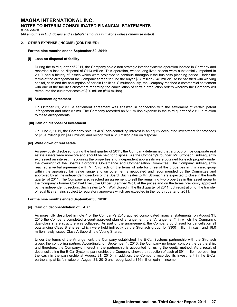*[Unaudited]*

*[All amounts in U.S. dollars and all tabular amounts in millions unless otherwise noted]*

### **2. OTHER EXPENSE (INCOME) (CONTINUED)**

#### **For the nine months ended September 30, 2011:**

#### **[i] Loss on disposal of facility**

During the third quarter of 2011, the Company sold a non strategic interior systems operation located in Germany and recorded a loss on disposal of \$113 million. This operation, whose long-lived assets were substantially impaired in 2010, had a history of losses which were projected to continue throughout the business planning period. Under the terms of the arrangement the Company agreed to fund the buyer \$67 million (€48 million), to be satisfied with working capital, cash and the assumption of certain liabilities. Simultaneously, the Company reached a commercial settlement with one of the facility's customers regarding the cancellation of certain production orders whereby the Company will reimburse the customer costs of \$20 million (€14 million).

#### **[ii] Settlement agreement**

On October 31, 2011, a settlement agreement was finalized in connection with the settlement of certain patent infringement and other claims. The Company recorded an \$11 million expense in the third quarter of 2011 in relation to these arrangements.

#### **[iii]Gain on disposal of investment**

On June 3, 2011, the Company sold its 40% non-controlling interest in an equity accounted investment for proceeds of \$151 million [Cdn\$147 million] and recognized a \$10 million gain on disposal.

#### **[iv] Write down of real estate**

As previously disclosed, during the first quarter of 2011, the Company determined that a group of five corporate real estate assets were non-core and should be held for disposal. As the Company's founder, Mr. Stronach, subsequently expressed an interest in acquiring the properties and independent appraisals were obtained for each property under the oversight of the Board's Corporate Governance and Compensation Committee. The Company subsequently reached a verbal agreement with Mr. Stronach on the terms of sale for three of the properties in this asset group within the appraised fair value range and on other terms negotiated and recommended by the Committee and approved by all the independent directors of the Board. Such sales to Mr. Stronach are expected to close in the fourth quarter of 2011. The Company also reached an agreement to sell the remaining two properties in this asset group to the Company's former Co-Chief Executive Officer, Siegfried Wolf, at the prices and on the terms previously approved by the independent directors. Such sales to Mr. Wolf closed in the third quarter of 2011, but registration of the transfer of legal title remains subject to regulatory approvals which are expected in the fourth quarter of 2011.

#### **For the nine months ended September 30, 2010:**

#### **[v] Gain on deconsolidation of E-Car**

As more fully described in note 4 of the Company's 2010 audited consolidated financial statements, on August 31, 2010 the Company completed a court-approved plan of arrangement [the "Arrangement"] in which the Company's dual-class share structure was collapsed. As part of the arrangement, the Company purchased for cancellation all outstanding Class B Shares, which were held indirectly by the Stronach group, for \$300 million in cash and 18.0 million newly issued Class A Subordinate Voting Shares.

Under the terms of the Arrangement, the Company established the E-Car Systems partnership with the Stronach group, the controlling partner. Accordingly, on September 1, 2010, the Company no longer controls the partnership, and therefore, the Company's interest in the partnership is accounted for using the equity method. As a result of deconsolidating the E-Car Systems partnership, the Company showed a reduction of cash of \$91 million representing the cash in the partnership at August 31, 2010. In addition, the Company recorded its investment in the E-Car partnership at its fair value on August 31, 2010 and recognized a \$16 million gain in income.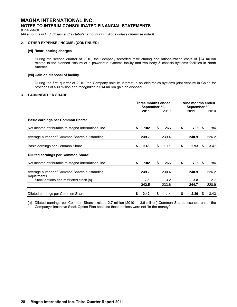*[Unaudited]*

*[All amounts in U.S. dollars and all tabular amounts in millions unless otherwise noted]*

# **2. OTHER EXPENSE (INCOME) (CONTINUED)**

### **[vi] Restructuring charges**

During the second quarter of 2010, the Company recorded restructuring and rationalization costs of \$24 million related to the planned closure of a powertrain systems facility and two body & chassis systems facilities in North America.

# **[vii] Gain on disposal of facility**

During the first quarter of 2010, the Company sold its interest in an electronics systems joint venture in China for proceeds of \$30 million and recognized a \$14 million gain on disposal.

# **3. EARNINGS PER SHARE**

|                                                            | Three months ended<br>September 30, |       |    |       | Nine months ended<br>September 30, |       |      |       |
|------------------------------------------------------------|-------------------------------------|-------|----|-------|------------------------------------|-------|------|-------|
|                                                            |                                     | 2011  |    | 2010  |                                    | 2011  |      | 2010  |
| <b>Basic earnings per Common Share:</b>                    |                                     |       |    |       |                                    |       |      |       |
| Net income attributable to Magna International Inc.        |                                     | 102   | S  | 266   | S                                  | 706   | - 55 | 784   |
| Average number of Common Shares outstanding                |                                     | 239.7 |    | 230.4 |                                    | 240.9 |      | 226.2 |
| Basic earnings per Common Share                            | S                                   | 0.43  | S  | 1.15  | S                                  | 2.93  | S    | 3.47  |
| <b>Diluted earnings per Common Share:</b>                  |                                     |       |    |       |                                    |       |      |       |
| Net income attributable to Magna International Inc.        | S                                   | 102   | \$ | 266   | S                                  | 706   | -SS  | 784   |
| Average number of Common Shares outstanding<br>Adjustments |                                     | 239.7 |    | 230.4 |                                    | 240.9 |      | 226.2 |
| Stock options and restricted stock [a]                     |                                     | 2.8   |    | 3.2   |                                    | 3.8   |      | 2.7   |
|                                                            |                                     | 242.5 |    | 233.6 |                                    | 244.7 |      | 228.9 |
| Diluted earnings per Common Share                          |                                     | 0.42  | S. | 1.14  |                                    | 2.89  | \$.  | 3.43  |

[a] Diluted earnings per Common Share exclude 2.7 million [2010 – 3.6 million] Common Shares issuable under the Company's Incentive Stock Option Plan because these options were not "in-the-money".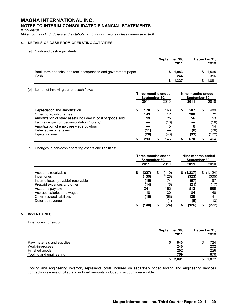*[Unaudited]*

*[All amounts in U.S. dollars and all tabular amounts in millions unless otherwise noted]*

# **4. DETAILS OF CASH FROM OPERATING ACTIVITIES**

[a] Cash and cash equivalents:

|                                                                       | September 30, | 2011           | December 31, | 2010        |
|-----------------------------------------------------------------------|---------------|----------------|--------------|-------------|
| Bank term deposits, bankers' acceptances and government paper<br>Cash |               | \$1,083<br>244 |              | .565<br>316 |
|                                                                       |               | \$1,327        |              | 1,881       |

### [b] Items not involving current cash flows:

|                                                             | Three months ended<br>September 30, |      |   |      | Nine months ended<br>September 30, |      |   |       |
|-------------------------------------------------------------|-------------------------------------|------|---|------|------------------------------------|------|---|-------|
|                                                             |                                     | 2011 |   | 2010 |                                    | 2011 |   | 2010  |
| Depreciation and amortization                               |                                     | 170  | S | 163  | \$                                 | 507  | ж | 489   |
| Other non-cash charges                                      |                                     | 143  |   | 12   |                                    | 200  |   | 72    |
| Amortization of other assets included in cost of goods sold |                                     | 19   |   | 25   |                                    | 56   |   | 53    |
| Fair value gain on deconsolidation <i>[note 2]</i>          |                                     |      |   | (16) |                                    |      |   | (16)  |
| Amortization of employee wage buydown                       |                                     |      |   | 5    |                                    | 6    |   | 14    |
| Deferred income taxes                                       |                                     | (11) |   |      |                                    | (6)  |   | (26)  |
| Equity income                                               |                                     | (28) |   | (43) |                                    | (93) |   | (122) |
|                                                             |                                     | 293  |   | 146  |                                    | 670  |   | 464   |

# [c] Changes in non-cash operating assets and liabilities:

|                                                | Three months ended<br>September 30, |                |   |                | Nine months ended<br>September 30, |                    |    |                  |
|------------------------------------------------|-------------------------------------|----------------|---|----------------|------------------------------------|--------------------|----|------------------|
|                                                |                                     | 2011           |   | 2010           |                                    | 2011               |    | 2010             |
| Accounts receivable<br>Inventories             | S                                   | (227)<br>(135) | S | (110)<br>(126) |                                    | \$(1,237)<br>(323) | S. | (1,124)<br>(305) |
| Income taxes (payable) receivable              |                                     | (15)           |   | 74             |                                    | (57)               |    | 197              |
| Prepaid expenses and other<br>Accounts payable |                                     | (14)<br>241    |   | (6)<br>183     |                                    | (21)<br>513        |    | (17)<br>699      |
| Accrued salaries and wages                     |                                     | 18             |   | 30             |                                    | 84                 |    | 140              |
| Other accrued liabilities<br>Deferred revenue  |                                     | (16)           |   | (68)           |                                    | 120<br>(5)         |    | 141<br>(3)       |
|                                                | \$                                  | (148)          |   | (24)           | S                                  | (926)              |    | (272)            |

# **5. INVENTORIES**

Inventories consist of:

|                            | September 30,<br>2011 | December 31,<br>2010 |  |  |
|----------------------------|-----------------------|----------------------|--|--|
| Raw materials and supplies | 840                   | 724                  |  |  |
| Work-in-process            | 240                   | 202                  |  |  |
| Finished goods             | 252                   | 226                  |  |  |
| Tooling and engineering    | 759                   | 670                  |  |  |
|                            | 2.091<br>S            | .822                 |  |  |

Tooling and engineering inventory represents costs incurred on separately priced tooling and engineering services contracts in excess of billed and unbilled amounts included in accounts receivable.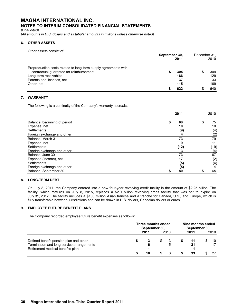*[Unaudited]*

*[All amounts in U.S. dollars and all tabular amounts in millions unless otherwise noted]*

# **6. OTHER ASSETS**

Other assets consist of:

|                                                                 | September 30, | December 31,<br>2010 |  |     |
|-----------------------------------------------------------------|---------------|----------------------|--|-----|
| Preproduction costs related to long-term supply agreements with |               |                      |  |     |
| contractual guarantee for reimbursement                         |               | 304                  |  | 309 |
| Long-term receivables                                           |               | 166                  |  | 129 |
| Patents and licences, net                                       |               | 37                   |  | 33  |
| Other, net                                                      |               | 115                  |  | 169 |
|                                                                 |               | 622                  |  | 640 |

# **7. WARRANTY**

The following is a continuity of the Company's warranty accruals:

|                              | 2011     | 2010     |
|------------------------------|----------|----------|
| Balance, beginning of period | 68<br>\$ | 75<br>\$ |
| Expense, net                 | 10       | 10       |
| Settlements                  | (9)      | (4)      |
| Foreign exchange and other   | 4        | (2)      |
| Balance, March 31            | 73       | 79       |
| Expense, net                 | 9        | 11       |
| Settlements                  | (12)     | (19)     |
| Foreign exchange and other   |          | (4)      |
| Balance, June 30             | 73       | 67       |
| Expense (income), net        | 17       | (2)      |
| Settlements                  | (5)      | (4)      |
| Foreign exchange and other   | (5)      |          |
| Balance, September 30        | 80<br>S  | 65       |

# **8. LONG-TERM DEBT**

On July 8, 2011, the Company entered into a new four-year revolving credit facility in the amount of \$2.25 billion. The facility, which matures on July 8, 2015, replaces a \$2.0 billion revolving credit facility that was set to expire on July 31, 2012. The facility includes a \$100 million Asian tranche and a tranche for Canada, U.S., and Europe, which is fully transferable between jurisdictions and can be drawn in U.S. dollars, Canadian dollars or euros.

# **9. EMPLOYEE FUTURE BENEFIT PLANS**

The Company recorded employee future benefit expenses as follows:

|                                                                               | Three months ended<br>September 30, |      |     |      | Nine months ended<br>September 30. |      |  |      |
|-------------------------------------------------------------------------------|-------------------------------------|------|-----|------|------------------------------------|------|--|------|
|                                                                               |                                     | 2011 |     | 2010 |                                    | 2011 |  | 2010 |
| Defined benefit pension plan and other                                        |                                     |      | SS. |      |                                    | 11   |  | 10   |
| Termination and long service arrangements<br>Retirement medical benefits plan |                                     |      |     | 5    |                                    | 21   |  | 17   |
|                                                                               |                                     | 10   |     |      |                                    | 33   |  | -27  |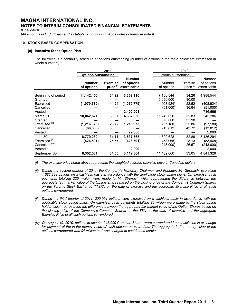*[Unaudited]*

*[All amounts in U.S. dollars and all tabular amounts in millions unless otherwise noted]*

# **10. STOCK-BASED COMPENSATION**

# **[a] Incentive Stock Option Plan**

The following is a continuity schedule of options outstanding [number of options in the table below are expressed in whole numbers]:

|                                                                              |                                          | 2011                         |                                            |  |                                               | 2010                             |                                             |
|------------------------------------------------------------------------------|------------------------------------------|------------------------------|--------------------------------------------|--|-----------------------------------------------|----------------------------------|---------------------------------------------|
|                                                                              | <b>Options outstanding</b>               |                              |                                            |  | Options outstanding                           |                                  |                                             |
|                                                                              | <b>Number</b><br>of options              | <b>Exercise</b><br>price (i) | <b>Number</b><br>of options<br>exercisable |  | Number<br>of options                          | Exercise<br>price <sup>(i)</sup> | Number<br>of options<br>exercisable         |
| Beginning of period<br>Granted                                               | 11,142,450                               | 34.22                        | 3,362,116                                  |  | 7,150,544<br>5,050,000                        | 34.26<br>30.00                   | 4,988,544                                   |
| Exercised<br>Cancelled<br>Vested                                             | (1,079,779)                              | 44.94                        | (1,079,779)<br>2,400,001                   |  | (408,924)<br>(51,000)                         | 22.52<br>36.64                   | (408, 924)<br>(51,000)<br>716,666           |
| March 31<br>Granted<br>Exercised <sup>(ii)</sup><br>Cancelled<br>Vested      | 10,062,671<br>(1, 216, 973)<br>(66, 666) | 33.07<br>25.72<br>30.00      | 4,682,338<br>(1, 216, 973)<br>72,000       |  | 11,740,620<br>70,000<br>(97,180)<br>(13, 812) | 32.83<br>35.98<br>25.86<br>43.72 | 5,245,286<br>(97,180)<br>(13, 812)<br>2,000 |
| June 30<br>Exercised <sup>(iii)</sup><br>Cancelled <sup>(iv)</sup><br>Vested | 8,779,032<br>(426,501)                   | 34.11<br>25.57               | 3,537,365<br>(426, 501)<br>2,000           |  | 11,699,628<br>(53,968)<br>(243,000)           | 32.89<br>28.13<br>26.57          | 5,136,294<br>(53,968)<br>(243,000)<br>2,000 |
| September 30                                                                 | 8,352,531                                | 34.55                        | 3,112,864                                  |  | 11,402,660                                    | 33.05                            | 4,841,326                                   |

*(i) The exercise price noted above represents the weighted average exercise price in Canadian dollars.*

*(ii) During the second quarter of 2011, the Company's Honorary Chairman and Founder, Mr. Stronach, exercised 1,083,333 options on a cashless basis in accordance with the applicable stock option plans. On exercise, cash payments totalling \$25 million were made to Mr. Stronach which represented the difference between the aggregate fair market value of the Option Shares based on the closing price of the Company's Common Shares on the Toronto Stock Exchange ("TSX") on the date of exercise and the aggregate Exercise Price of all such options surrendered.*

- *(iii) During the third quarter of 2011, 200,001 options were exercised on a cashless basis in accordance with the applicable stock option plans. On exercise, cash payments totalling \$5 million were made to the stock option holder which represented the difference between the aggregate fair market value of the Option Shares based on the closing price of the Company's Common Shares on the TSX on the date of exercise and the aggregate Exercise Price of all such options surrendered.*
- *(iv) On August 19, 2010, options to acquire 243,000 Common Shares were surrendered for cancellation in exchange*  for payment of the in-the-money value of such options on such date. The aggregate in-the-money value of the *options surrendered was \$4 million and was charged to contributed surplus.*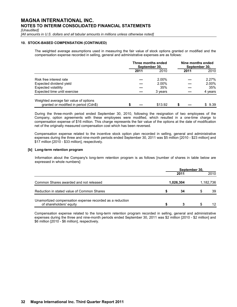*[Unaudited]*

*[All amounts in U.S. dollars and all tabular amounts in millions unless otherwise noted]*

### **10. STOCK-BASED COMPENSATION (CONTINUED)**

The weighted average assumptions used in measuring the fair value of stock options granted or modified and the compensation expense recorded in selling, general and administrative expenses are as follows:

|                                                                                 |      | Three months ended<br>September 30. | Nine months ended<br>September 30. |         |  |  |  |
|---------------------------------------------------------------------------------|------|-------------------------------------|------------------------------------|---------|--|--|--|
|                                                                                 | 2011 | 2010                                | 2011                               | 2010    |  |  |  |
| Risk free interest rate                                                         |      | 2.00%                               |                                    | 2.27%   |  |  |  |
| Expected dividend yield                                                         |      | 2.00%                               |                                    | 2.00%   |  |  |  |
| Expected volatility                                                             |      | 35%                                 |                                    | 35%     |  |  |  |
| Expected time until exercise                                                    |      | 3 years                             |                                    | 4 years |  |  |  |
| Weighted average fair value of options<br>granted or modified in period (Cdn\$) |      | \$13.92                             |                                    | 9.39    |  |  |  |

During the three-month period ended September 30, 2010, following the resignation of two employees of the Company, option agreements with these employees were modified, which resulted in a one-time charge to compensation expense of \$16 million. This charge represents the fair value of the options at the date of modification net of the originally measured compensation cost which has been reversed.

Compensation expense related to the incentive stock option plan recorded in selling, general and administrative expenses during the three and nine-month periods ended September 30, 2011 was \$5 million [2010 - \$23 million] and \$17 million [2010 - \$33 million], respectively.

### **[b] Long-term retention program**

Information about the Company's long-term retention program is as follows [number of shares in table below are expressed in whole numbers]:

|                                                                                     | September 30, |      |           |    |  |  |  |  |  |
|-------------------------------------------------------------------------------------|---------------|------|-----------|----|--|--|--|--|--|
|                                                                                     |               | 2011 | 2010      |    |  |  |  |  |  |
| Common Shares awarded and not released                                              | 1,026,304     |      | 1,182,736 |    |  |  |  |  |  |
| Reduction in stated value of Common Shares                                          |               | 34   |           | 39 |  |  |  |  |  |
| Unamortized compensation expense recorded as a reduction<br>of shareholders' equity |               |      |           | 12 |  |  |  |  |  |

Compensation expense related to the long-term retention program recorded in selling, general and administrative expenses during the three and nine-month periods ended September 30, 2011 was \$2 million [2010 - \$2 million] and \$6 million [2010 - \$6 million], respectively.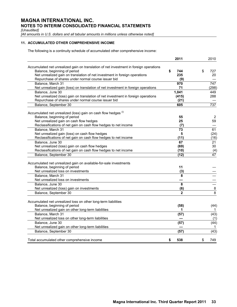*[Unaudited]*

*[All amounts in U.S. dollars and all tabular amounts in millions unless otherwise noted]*

# **11. ACCUMULATED OTHER COMPREHENSIVE INCOME**

The following is a continuity schedule of accumulated other comprehensive income:

|                                                                                        | 2011                    | 2010           |
|----------------------------------------------------------------------------------------|-------------------------|----------------|
| Accumulated net unrealized gain on translation of net investment in foreign operations |                         |                |
| Balance, beginning of period                                                           | 744<br>\$               | \$<br>727      |
| Net unrealized gain on translation of net investment in foreign operations             | 235                     | 20             |
| Repurchase of shares under normal course issuer bid                                    | (9)                     |                |
| Balance, March 31                                                                      | 970                     | 747            |
| Net unrealized gain (loss) on translation of net investment in foreign operations      | 71                      | (298)          |
| Balance, June 30                                                                       | 1,041                   | 449            |
| Net unrealized (loss) gain on translation of net investment in foreign operations      | (415)                   | 288            |
| Repurchase of shares under normal course issuer bid                                    | (21)                    |                |
| Balance, September 30                                                                  | 605                     | 737            |
| Accumulated net unrealized (loss) gain on cash flow hedges (i)                         |                         |                |
| Balance, beginning of period                                                           | 55                      | $\overline{2}$ |
| Net unrealized gain on cash flow hedges                                                | 25                      | 59             |
| Reclassifications of net gain on cash flow hedges to net income                        | (7)                     |                |
| Balance, March 31                                                                      | $\overline{73}$         | 61             |
| Net unrealized gain (loss) on cash flow hedges                                         | 5                       | (24)           |
| Reclassifications of net gain on cash flow hedges to net income                        | (11)                    | (16)           |
| Balance, June 30                                                                       | 67                      | 21             |
| Net unrealized (loss) gain on cash flow hedges                                         | (69)                    | 30             |
| Reclassifications of net gain on cash flow hedges to net income                        | (10)                    | (4)            |
| Balance, September 30                                                                  | (12)                    | 47             |
|                                                                                        |                         |                |
| Accumulated net unrealized gain on available-for-sale investments                      |                         |                |
| Balance, beginning of period<br>Net unrealized loss on investments                     | 11                      |                |
|                                                                                        | (3)<br>8                |                |
| Balance, March 31<br>Net unrealized loss on investments                                |                         |                |
|                                                                                        | $\overline{\mathbf{8}}$ |                |
| Balance, June 30                                                                       |                         |                |
| Net unrealized (loss) gain on investments                                              | (6)                     | $\frac{8}{2}$  |
| Balance, September 30                                                                  | $\overline{2}$          | 8              |
| Accumulated net unrealized loss on other long-term liabilities                         |                         |                |
| Balance, beginning of period                                                           | (58)                    | (44)           |
| Net unrealized gain on other long-term liabilities                                     | 1                       | 1              |
| Balance, March 31                                                                      | (57)                    | (43)           |
| Net unrealized loss on other long-term liabilities                                     |                         | (1)            |
| Balance, June 30                                                                       | (57)                    | (44)           |
| Net unrealized gain on other long-term liabilities                                     |                         | 1              |
| Balance, September 30                                                                  | (57)                    | (43)           |
| Total accumulated other comprehensive income                                           | \$<br>538               | \$<br>749      |
|                                                                                        |                         |                |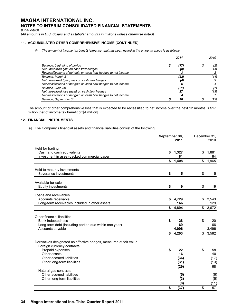*[Unaudited]*

*[All amounts in U.S. dollars and all tabular amounts in millions unless otherwise noted]*

# **11. ACCUMULATED OTHER COMPREHENSIVE INCOME (CONTINUED)**

*(i) The amount of income tax benefit (expense) that has been netted in the amounts above is as follows:*

|                                                                 |  | 2010 |  |      |  |
|-----------------------------------------------------------------|--|------|--|------|--|
| Balance, beginning of period                                    |  | (17) |  | (2)  |  |
| Net unrealized gain on cash flow hedges                         |  | (8)  |  | (14) |  |
| Reclassifications of net gain on cash flow hedges to net income |  |      |  |      |  |
| Balance, March 31                                               |  | (22) |  | (14) |  |
| Net unrealized (gain) loss on cash flow hedges                  |  | (4,  |  |      |  |
| Reclassifications of net gain on cash flow hedges to net income |  |      |  |      |  |
| Balance, June 30                                                |  | (21) |  | (1)  |  |
| Net unrealized loss (gain) on cash flow hedges                  |  | 27   |  | (13) |  |
| Reclassifications of net gain on cash flow hedges to net income |  |      |  |      |  |
| Balance, September 30                                           |  | 10   |  | (13) |  |

The amount of other comprehensive loss that is expected to be reclassified to net income over the next 12 months is \$17 million [net of income tax benefit of \$4 million].

# **12. FINANCIAL INSTRUMENTS**

[a] The Company's financial assets and financial liabilities consist of the following:

|                                                                                                  | September 30, | 2011           | December 31, | 2010             |  |
|--------------------------------------------------------------------------------------------------|---------------|----------------|--------------|------------------|--|
| Held for trading<br>Cash and cash equivalents                                                    | \$            | 1,327          | \$           | 1,881            |  |
| Investment in asset-backed commercial paper                                                      |               | 81             |              | 84               |  |
|                                                                                                  | \$            | 1,408          | \$           | 1,965            |  |
| Held to maturity investments                                                                     |               |                |              |                  |  |
| Severance investments                                                                            | \$            | 5              | \$           | 5                |  |
| Available-for-sale                                                                               |               |                |              |                  |  |
| <b>Equity investments</b>                                                                        | \$            | 9              | \$           | 19               |  |
| Loans and receivables                                                                            |               |                |              |                  |  |
| Accounts receivable<br>Long-term receivables included in other assets                            | \$            | 4,729<br>166   | \$           | 3,543<br>129     |  |
|                                                                                                  | \$            | 4,894          | \$           | 3,672            |  |
| Other financial liabilities                                                                      |               |                |              |                  |  |
| <b>Bank indebtedness</b>                                                                         | \$            | 128            | \$           | 20               |  |
| Long-term debt (including portion due within one year)                                           |               | 69             |              | 66               |  |
| Accounts payable                                                                                 | \$            | 4,006<br>4,203 |              | 3,496<br>\$3,582 |  |
| Derivatives designated as effective hedges, measured at fair value<br>Foreign currency contracts |               |                |              |                  |  |
| Prepaid expenses                                                                                 | \$            | 22             | \$           | 58               |  |
| Other assets<br>Other accrued liabilities                                                        |               | 16<br>(36)     |              | 40<br>(17)       |  |
| Other long-term liabilities                                                                      |               | (31)           |              | (13)             |  |
|                                                                                                  |               | (29)           |              | 68               |  |
| Natural gas contracts<br>Other accrued liabilities                                               |               |                |              |                  |  |
| Other long-term liabilities                                                                      |               | (5)<br>(3)     |              | (6)<br>(5)       |  |
|                                                                                                  |               | (8)            |              | (11)             |  |
|                                                                                                  | \$            | (37)           | \$           | 57               |  |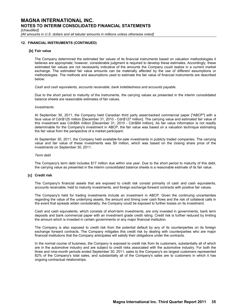*[Unaudited]*

*[All amounts in U.S. dollars and all tabular amounts in millions unless otherwise noted]*

### **12. FINANCIAL INSTRUMENTS (CONTINUED)**

#### **[b] Fair value**

The Company determined the estimated fair values of its financial instruments based on valuation methodologies it believes are appropriate; however, considerable judgment is required to develop these estimates. Accordingly, these estimated fair values are not necessarily indicative of the amounts the Company could realize in a current market exchange. The estimated fair value amounts can be materially affected by the use of different assumptions or methodologies. The methods and assumptions used to estimate the fair value of financial instruments are described below:

*Cash and cash equivalents, accounts receivable, bank indebtedness and accounts payable.*

Due to the short period to maturity of the instruments, the carrying values as presented in the interim consolidated balance sheets are reasonable estimates of fair values.

#### *Investments*

At September 30, 2011, the Company held Canadian third party asset-backed commercial paper ["ABCP"] with a face value of Cdn\$125 million [December 31, 2010 - Cdn\$127 million]. The carrying value and estimated fair value of this investment was Cdn\$84 million [December 31, 2010 - Cdn\$84 million]. As fair value information is not readily determinable for the Company's investment in ABCP, the fair value was based on a valuation technique estimating the fair value from the perspective of a market participant.

At September 30, 2011, the Company held available-for-sale investments in publicly traded companies. The carrying value and fair value of these investments was \$9 million, which was based on the closing share price of the investments on September 30, 2011.

#### *Term debt*

The Company's term debt includes \$17 million due within one year. Due to the short period to maturity of this debt, the carrying value as presented in the interim consolidated balance sheets is a reasonable estimate of its fair value.

### **[c] Credit risk**

The Company's financial assets that are exposed to credit risk consist primarily of cash and cash equivalents, accounts receivable, held to maturity investments, and foreign exchange forward contracts with positive fair values.

The Company's held for trading investments include an investment in ABCP. Given the continuing uncertainties regarding the value of the underlying assets, the amount and timing over cash flows and the risk of collateral calls in the event that spreads widen considerably, the Company could be exposed to further losses on its investment.

Cash and cash equivalents, which consists of short-term investments, are only invested in governments, bank term deposits and bank commercial paper with an investment grade credit rating. Credit risk is further reduced by limiting the amount which is invested in certain governments or any major financial institution.

The Company is also exposed to credit risk from the potential default by any of its counterparties on its foreign exchange forward contracts. The Company mitigates this credit risk by dealing with counterparties who are major financial institutions that the Company anticipates will satisfy their obligations under the contracts.

In the normal course of business, the Company is exposed to credit risk from its customers, substantially all of which are in the automotive industry and are subject to credit risks associated with the automotive industry. For both the three and nine-month periods ended September 30, 2011, sales to the Company's six largest customers represented 82% of the Company's total sales, and substantially all of the Company's sales are to customers in which it has ongoing contractual relationships.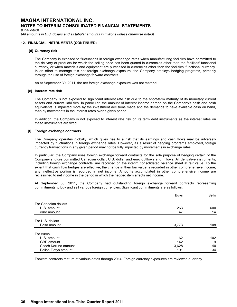*[Unaudited]*

*[All amounts in U.S. dollars and all tabular amounts in millions unless otherwise noted]*

### **12. FINANCIAL INSTRUMENTS (CONTINUED)**

#### **[d] Currency risk**

The Company is exposed to fluctuations in foreign exchange rates when manufacturing facilities have committed to the delivery of products for which the selling price has been quoted in currencies other than the facilities' functional currency, or when materials and equipment are purchased in currencies other than the facilities' functional currency. In an effort to manage this net foreign exchange exposure, the Company employs hedging programs, primarily through the use of foreign exchange forward contracts.

As at September 30, 2011, the net foreign exchange exposure was not material.

#### **[e] Interest rate risk**

The Company is not exposed to significant interest rate risk due to the short-term maturity of its monetary current assets and current liabilities. In particular, the amount of interest income earned on the Company's cash and cash equivalents is impacted more by the investment decisions made and the demands to have available cash on hand, than by movements in the interest rates over a given period.

In addition, the Company is not exposed to interest rate risk on its term debt instruments as the interest rates on these instruments are fixed.

#### **[f] Foreign exchange contracts**

The Company operates globally, which gives rise to a risk that its earnings and cash flows may be adversely impacted by fluctuations in foreign exchange rates. However, as a result of hedging programs employed, foreign currency transactions in any given period may not be fully impacted by movements in exchange rates.

In particular, the Company uses foreign exchange forward contracts for the sole purpose of hedging certain of the Company's future committed Canadian dollar, U.S. dollar and euro outflows and inflows. All derivative instruments, including foreign exchange contracts, are recorded on the interim consolidated balance sheet at fair value. To the extent that cash flow hedges are effective, the change in their fair value is recorded in other comprehensive income; any ineffective portion is recorded in net income. Amounts accumulated in other comprehensive income are reclassified to net income in the period in which the hedged item affects net income.

At September 30, 2011, the Company had outstanding foreign exchange forward contracts representing commitments to buy and sell various foreign currencies. Significant commitments are as follows:

|                      | <b>Buys</b> | Sells |
|----------------------|-------------|-------|
| For Canadian dollars |             |       |
| U.S. amount          | 263         | 600   |
| euro amount          | 47          | 14    |
|                      |             |       |
| For U.S. dollars     |             |       |
| Peso amount          | 3,773       | 108   |
| For euros            |             |       |
| U.S. amount          | 62          | 102   |
| GBP amount           | 142         | 9     |
| Czech Koruna amount  | 3,628       | 40    |
| Polish Zlotys amount | 191         | 34    |

Forward contracts mature at various dates through 2014. Foreign currency exposures are reviewed quarterly.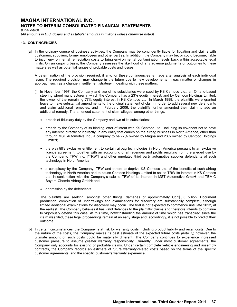*[Unaudited]*

*[All amounts in U.S. dollars and all tabular amounts in millions unless otherwise noted]*

### **13. CONTINGENCIES**

[a] In the ordinary course of business activities, the Company may be contingently liable for litigation and claims with customers, suppliers, former employees and other parties. In addition, the Company may be, or could become, liable to incur environmental remediation costs to bring environmental contamination levels back within acceptable legal limits. On an ongoing basis, the Company assesses the likelihood of any adverse judgments or outcomes to these matters as well as potential ranges of probable costs and losses.

A determination of the provision required, if any, for these contingencies is made after analysis of each individual issue. The required provision may change in the future due to new developments in each matter or changes in approach such as a change in settlement strategy in dealing with these matters.

- [i] In November 1997, the Company and two of its subsidiaries were sued by KS Centoco Ltd., an Ontario-based steering wheel manufacturer in which the Company has a 23% equity interest, and by Centoco Holdings Limited, the owner of the remaining 77% equity interest in KS Centoco Ltd. In March 1999, the plaintiffs were granted leave to make substantial amendments to the original statement of claim in order to add several new defendants and claim additional remedies, and in February 2006, the plaintiffs further amended their claim to add an additional remedy. The amended statement of claim alleges, among other things:
	- breach of fiduciary duty by the Company and two of its subsidiaries;
	- breach by the Company of its binding letter of intent with KS Centoco Ltd., including its covenant not to have any interest, directly or indirectly, in any entity that carries on the airbag business in North America, other than through MST Automotive Inc., a company to be 77% owned by Magna and 23% owned by Centoco Holdings Limited;
	- the plaintiff's exclusive entitlement to certain airbag technologies in North America pursuant to an exclusive licence agreement, together with an accounting of all revenues and profits resulting from the alleged use by the Company, TRW Inc. ["TRW"] and other unrelated third party automotive supplier defendants of such technology in North America;
	- a conspiracy by the Company, TRW and others to deprive KS Centoco Ltd. of the benefits of such airbag technology in North America and to cause Centoco Holdings Limited to sell to TRW its interest in KS Centoco Ltd. in conjunction with the Company's sale to TRW of its interest in MST Automotive GmbH and TEMIC Bayern-Chemie Airbag GmbH; and
	- oppression by the defendants.

The plaintiffs are seeking, amongst other things, damages of approximately Cdn\$3.5 billion. Document production, completion of undertakings and examinations for discovery are substantially complete, although limited additional examinations for discovery may occur. The trial is not expected to commence until late 2012, at the earliest. The Company believes it has valid defences to the plaintiffs' claims and therefore intends to continue to vigorously defend this case. At this time, notwithstanding the amount of time which has transpired since the claim was filed, these legal proceedings remain at an early stage and, accordingly, it is not possible to predict their outcome.

[b] In certain circumstances, the Company is at risk for warranty costs including product liability and recall costs. Due to the nature of the costs, the Company makes its best estimate of the expected future costs *[note 7]*; however, the ultimate amount of such costs could be materially different. The Company continues to experience increased customer pressure to assume greater warranty responsibility. Currently, under most customer agreements, the Company only accounts for existing or probable claims. Under certain complete vehicle engineering and assembly contracts, the Company records an estimate of future warranty-related costs based on the terms of the specific customer agreements, and the specific customer's warranty experience.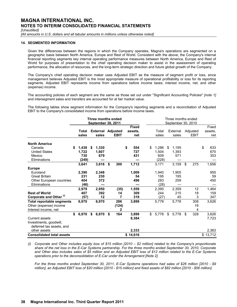*[Unaudited]*

*[All amounts in U.S. dollars and all tabular amounts in millions unless otherwise noted]*

### **14. SEGMENTED INFORMATION**

Given the differences between the regions in which the Company operates, Magna's operations are segmented on a geographic basis between North America, Europe and Rest of World. Consistent with the above, the Company's internal financial reporting segments key internal operating performance measures between North America, Europe and Rest of World for purposes of presentation to the chief operating decision maker to assist in the assessment of operating performance, the allocation of resources, and the long-term strategic direction and future global growth of the Company.

The Company's chief operating decision maker uses Adjusted EBIT as the measure of segment profit or loss, since management believes Adjusted EBIT is the most appropriate measure of operational profitability or loss for its reporting segments. Adjusted EBIT represents income from operations before income taxes; interest income, net; and other (expense) income.

The accounting policies of each segment are the same as those set out under "Significant Accounting Policies" *[note 1]* and intersegment sales and transfers are accounted for at fair market value.

The following tables show segment information for the Company's reporting segments and a reconciliation of Adjusted EBIT to the Company's consolidated income from operations before income taxes.

|                                                                                    |                                      |    | Three months ended<br><b>September 30, 2011</b> |                   |          |                     | Three months ended<br>September 30, 2010 |                                |    |                       |    |                         |    |                         |  |
|------------------------------------------------------------------------------------|--------------------------------------|----|-------------------------------------------------|-------------------|----------|---------------------|------------------------------------------|--------------------------------|----|-----------------------|----|-------------------------|----|-------------------------|--|
|                                                                                    | Total<br>sales                       |    | <b>External Adjusted</b><br>sales               | <b>EBIT</b>       | assets.  | <b>Fixed</b><br>net |                                          | Total<br>sales                 |    | External<br>sales     |    | Adjusted<br><b>EBIT</b> |    | Fixed<br>assets,<br>net |  |
| <b>North America</b><br>Canada<br><b>United States</b><br>Mexico<br>Eliminations   | \$<br>1,438<br>1,722<br>730<br>(249) | \$ | 1,330<br>1,607<br>679                           |                   | \$       | 554<br>727<br>431   | \$                                       | 1,286<br>1,504<br>609<br>(228) | \$ | 1,195<br>1,393<br>571 |    |                         | \$ | 633<br>670<br>353       |  |
| <b>Europe</b><br>Euroland                                                          | 3,641<br>2,390                       |    | 3,616<br>2,348                                  | \$<br>300         |          | 1,712<br>1,009      |                                          | 3,171<br>1,940                 |    | 3,159<br>1,905        | \$ | 275                     |    | 1,656<br>955            |  |
| <b>Great Britain</b><br>Other European countries<br>Eliminations                   | 231<br>404<br>(46)                   |    | 230<br>372                                      |                   |          | 54<br>496           |                                          | 195<br>283<br>(28)             |    | 195<br>259            |    |                         |    | 59<br>450               |  |
| <b>Rest of World</b><br>Corporate and Other <sup>(i)</sup>                         | 2,979<br>407<br>(57)                 |    | 2,950<br>392<br>12                              | (35)<br>14<br>7   |          | 1,559<br>309<br>319 |                                          | 2,390<br>244<br>(27)           |    | 2,359<br>215<br>45    |    | 12<br>18<br>3           |    | 1,464<br>159<br>347     |  |
| <b>Total reportable segments</b><br>Other (expense) income<br>Interest income, net | 6.970                                |    | 6,970                                           | 286<br>(124)<br>2 |          | 3,899               |                                          | 5.778                          |    | 5,778                 |    | 308<br>16<br>4          |    | 3,626                   |  |
| <b>Current assets</b><br>Investments, goodwill,<br>deferred tax assets, and        | \$<br>6,970                          | S. | 6,970                                           | \$<br>164         |          | 3,899<br>8,384      | \$                                       | 5,778                          | \$ | 5,778                 | \$ | 328                     |    | 3,626<br>7,723          |  |
| other assets<br><b>Consolidated total assets</b>                                   |                                      |    |                                                 |                   | \$14,616 | 2,333               |                                          |                                |    |                       |    |                         |    | 2,363<br>\$13,712       |  |

*(i) Corporate and Other includes equity loss of \$15 million [2010 – \$2 million] related to the Company's proportionate share of the net loss in the E-Car Systems partnership. For the three months ended September 30, 2010, Corporate and Other also includes sales of \$5 million and an Adjusted EBIT loss of \$12 million related to the E-Car Systems operations prior to the deconsolidation of E-Car under the Arrangement [Note 2].* 

*For the three months ended September 30, 2011, E-Car Systems operations had sales of \$26 million [2010 - \$9 million], an Adjusted EBIT loss of \$20 million [2010 - \$15 million] and fixed assets of \$82 million [2010 - \$56 million].*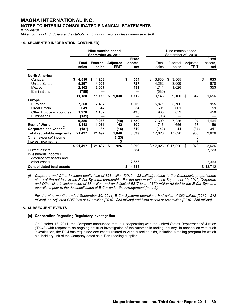*[Unaudited]*

*[All amounts in U.S. dollars and all tabular amounts in millions unless otherwise noted]*

# **14. SEGMENTED INFORMATION (CONTINUED)**

|                                                  |             | Nine months ended<br><b>September 30, 2011</b> |             |              | Nine months ended<br>September 30, 2010 |    |          |             |          |    |          |  |  |  |
|--------------------------------------------------|-------------|------------------------------------------------|-------------|--------------|-----------------------------------------|----|----------|-------------|----------|----|----------|--|--|--|
|                                                  |             |                                                |             | <b>Fixed</b> |                                         |    |          |             |          |    | Fixed    |  |  |  |
|                                                  | Total       | <b>External Adjusted</b>                       |             | assets.      | Total                                   |    | External |             | Adjusted |    | assets.  |  |  |  |
|                                                  | sales       | sales                                          | <b>EBIT</b> | net          | sales                                   |    | sales    | <b>EBIT</b> |          |    | net      |  |  |  |
| <b>North America</b>                             |             |                                                |             |              |                                         |    |          |             |          |    |          |  |  |  |
| Canada                                           | 4.510<br>\$ | 4,203<br>\$                                    |             | \$<br>554    | \$<br>3,830                             | \$ | 3,565    |             |          | \$ | 633      |  |  |  |
| <b>United States</b>                             | 5,297       | 4,905                                          |             | 727          | 4,252                                   |    | 3,909    |             |          |    | 670      |  |  |  |
| Mexico                                           | 2,162       | 2,007                                          |             | 431          | 1,741                                   |    | 1,626    |             |          |    | 353      |  |  |  |
| Eliminations                                     | (789)       |                                                |             |              | (680)                                   |    |          |             |          |    |          |  |  |  |
|                                                  | 11,180      | 11,115                                         | \$<br>1,038 | 1,712        | 9,143                                   |    | 9,100    | \$          | 842      |    | 1,656    |  |  |  |
| <b>Europe</b>                                    |             |                                                |             |              |                                         |    |          |             |          |    |          |  |  |  |
| Euroland                                         | 7,568       | 7,437                                          |             | 1,009        | 5,871                                   |    | 5,766    |             |          |    | 955      |  |  |  |
| <b>Great Britain</b>                             | 649         | 647                                            |             | 54           | 601                                     |    | 601      |             |          |    | 59       |  |  |  |
| Other European countries                         | 1,270       | 1,182                                          |             | 496          | 933                                     |    | 859      |             |          |    | 450      |  |  |  |
| Eliminations                                     | (131)       |                                                |             |              | (96)                                    |    |          |             |          |    |          |  |  |  |
|                                                  | 9,356       | 9,266                                          | (19)        | 1,559        | 7,309                                   |    | 7,226    |             | 97       |    | 1,464    |  |  |  |
| <b>Rest of World</b>                             | 1,148       | 1,081                                          | 42          | 309          | 716                                     |    | 656      |             | 58       |    | 159      |  |  |  |
| Corporate and Other <sup>(i)</sup>               | (187)       | 35                                             | (15)        | 319          | (142)                                   |    | 44       |             | (37)     |    | 347      |  |  |  |
| <b>Total reportable segments</b>                 | 21,497      | 21,497                                         | 1,046       | 3,899        | 17,026                                  |    | 17,026   |             | 960      |    | 3,626    |  |  |  |
| Other (expense) income                           |             |                                                | (123)       |              |                                         |    |          |             | 6        |    |          |  |  |  |
| Interest income, net                             |             |                                                | 3           |              |                                         |    |          |             | 7        |    |          |  |  |  |
|                                                  | \$21,497    | \$21,497                                       | \$<br>926   | 3,899        | \$17,026                                |    | \$17,026 | \$          | 973      |    | 3,626    |  |  |  |
| <b>Current assets</b>                            |             |                                                |             | 8,384        |                                         |    |          |             |          |    | 7,723    |  |  |  |
| Investments, goodwill<br>deferred tax assets and |             |                                                |             |              |                                         |    |          |             |          |    |          |  |  |  |
| other assets                                     |             |                                                |             | 2,333        |                                         |    |          |             |          |    | 2,363    |  |  |  |
| <b>Consolidated total assets</b>                 |             |                                                |             |              |                                         |    |          |             |          |    |          |  |  |  |
|                                                  |             |                                                |             | \$14,616     |                                         |    |          |             |          |    | \$13,712 |  |  |  |

*(i) Corporate and Other includes equity loss of \$53 million [2010 – \$2 million] related to the Company's proportionate share of the net loss in the E-Car Systems partnership. For the nine months ended September 30, 2010, Corporate and Other also includes sales of \$8 million and an Adjusted EBIT loss of \$50 million related to the E-Car Systems operations prior to the deconsolidation of E-Car under the Arrangement [note 2].* 

*For the nine months ended September 30, 2011, E-Car Systems operations had sales of \$62 million [2010 - \$12 million], an Adjusted EBIT loss of \$73 million [2010 - \$53 million] and fixed assets of \$82 million [2010 - \$56 million].*

# **15. SUBSEQUENT EVENTS**

# **[a] Cooperation Regarding Regulatory Investigation**

On October 13, 2011, the Company announced that it is cooperating with the United States Department of Justice ("DOJ") with respect to an ongoing antitrust investigation of the automobile tooling industry. In connection with such investigation, the DOJ has requested documents related to various tooling bids, including a tooling program for which a subsidiary unit of the Company acted as a Tier 1 tooling supplier.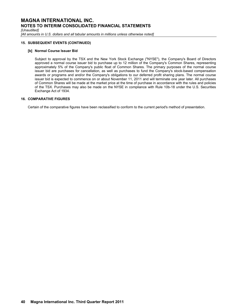*[Unaudited]*

*[All amounts in U.S. dollars and all tabular amounts in millions unless otherwise noted]*

# **15. SUBSEQUENT EVENTS (CONTINUED)**

#### **[b] Normal Course Issuer Bid**

Subject to approval by the TSX and the New York Stock Exchange ("NYSE"), the Company's Board of Directors approved a normal course issuer bid to purchase up to 12 million of the Company's Common Shares, representing approximately 5% of the Company's public float of Common Shares. The primary purposes of the normal course issuer bid are purchases for cancellation, as well as purchases to fund the Company's stock-based compensation awards or programs and and/or the Company's obligations to our deferred profit sharing plans. The normal course issuer bid is expected to commence on or about November 11, 2011 and will terminate one year later. All purchases of Common Shares will be made at the market price at the time of purchase in accordance with the rules and policies of the TSX. Purchases may also be made on the NYSE in compliance with Rule 10b-18 under the U.S. Securities Exchange Act of 1934.

### **16. COMPARATIVE FIGURES**

Certain of the comparative figures have been reclassified to conform to the current period's method of presentation.